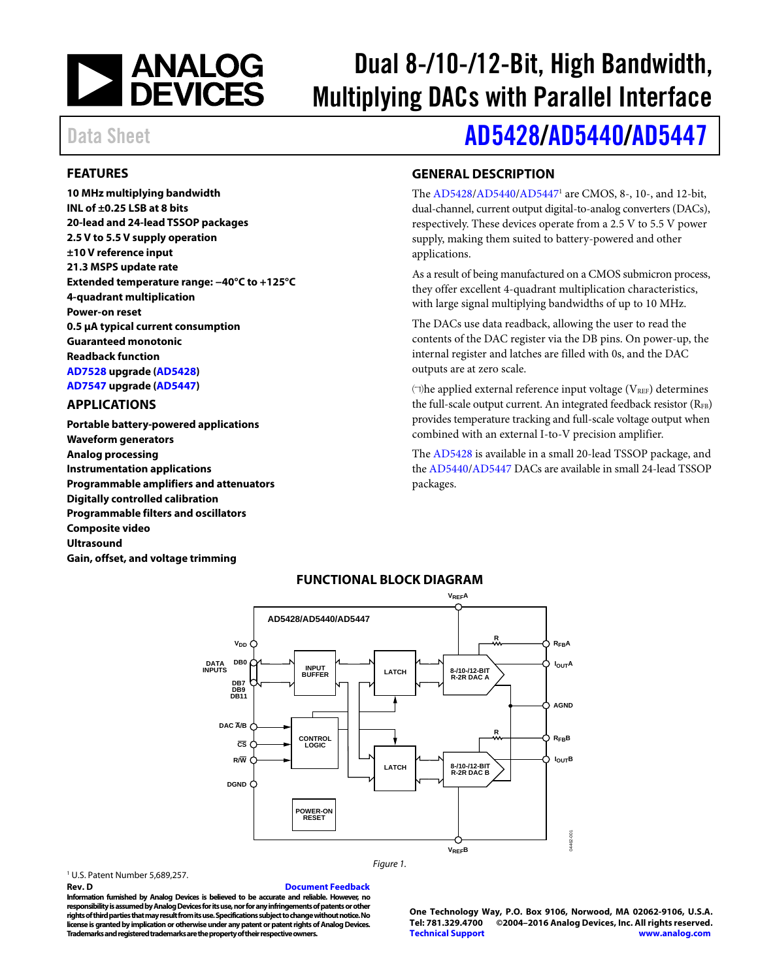

# Dual 8-/10-/12-Bit, High Bandwidth, Multiplying DACs with Parallel Interface

# Data Sheet **[AD5428/](http://www.analog.com/AD5428?doc=AD5428_5440_5447.pdf)[AD5440/](http://www.analog.com/AD5440?doc=AD5428_5440_5447.pdf)[AD5447](http://www.analog.com/AD5447?doc=AD5428_5440_5447.pdf)**

## <span id="page-0-0"></span>**FEATURES**

**10 MHz multiplying bandwidth INL of ±0.25 LSB at 8 bits 20-lead and 24-lead TSSOP packages 2.5 V to 5.5 V supply operation ±10 V reference input 21.3 MSPS update rate Extended temperature range: −40°C to +125°C 4-quadrant multiplication Power-on reset 0.5 μA typical current consumption Guaranteed monotonic Readback function [AD7528 u](http://www.analog.com/AD7528?doc=AD5428_5440_5447.pdf)pgrade [\(AD5428\)](http://www.analog.com/AD5428?doc=AD5428_5440_5447.pdf) [AD7547 u](http://www.analog.com/AD7547?doc=AD5428_5440_5447.pdf)pgrade [\(AD5447\)](http://www.analog.com/AD5447?doc=AD5428_5440_5447.pdf)** 

#### <span id="page-0-1"></span>**APPLICATIONS**

**Portable battery-powered applications Waveform generators Analog processing Instrumentation applications Programmable amplifiers and attenuators Digitally controlled calibration Programmable filters and oscillators Composite video Ultrasound Gain, offset, and voltage trimming** 

### <span id="page-0-2"></span>**GENERAL DESCRIPTION**

The [AD5428/](http://www.analog.com/AD5428?doc=AD5428_5440_5447.pdf)[AD5440/](http://www.analog.com/AD5440?doc=AD5428_5440_5447.pdf)[AD54471](http://www.analog.com/AD5447?doc=AD5428_5440_5447.pdf) are CMOS, 8-, 10-, and 12-bit, dual-channel, current output digital-to-analog converters (DACs), respectively. These devices operate from a 2.5 V to 5.5 V power supply, making them suited to battery-powered and other applications.

As a result of being manufactured on a CMOS submicron process, they offer excellent 4-quadrant multiplication characteristics, with large signal multiplying bandwidths of up to 10 MHz.

The DACs use data readback, allowing the user to read the contents of the DAC register via the DB pins. On power-up, the internal register and latches are filled with 0s, and the DAC outputs are at zero scale.

 $\Box$ he applied external reference input voltage ( $V_{REF}$ ) determines the full-scale output current. An integrated feedback resistor  $(R_{FB})$ provides temperature tracking and full-scale voltage output when combined with an external I-to-V precision amplifier.

The [AD5428 i](http://www.analog.com/AD5428?doc=AD5428_5440_5447.pdf)s available in a small 20-lead TSSOP package, and the [AD5440](http://www.analog.com/AD5440?doc=AD5428_5440_5447.pdf)[/AD5447 D](http://www.analog.com/AD5447?doc=AD5428_5440_5447.pdf)ACs are available in small 24-lead TSSOP packages.

<span id="page-0-3"></span>

Figure 1.

## **FUNCTIONAL BLOCK DIAGRAM**

1 U.S. Patent Number 5,689,257.

#### **Rev. D [Document Feedback](https://form.analog.com/Form_Pages/feedback/documentfeedback.aspx?doc=AD5428_5440_5447.pdf&product=AD5428%20AD5440%20AD5447&rev=D)**

**Information furnished by Analog Devices is believed to be accurate and reliable. However, no responsibility is assumed by Analog Devices for its use, nor for any infringements of patents or other rights of third parties that may result from its use. Specifications subject to change without notice. No license is granted by implication or otherwise under any patent or patent rights of Analog Devices. Trademarks and registered trademarks are the property of their respective owners.** 

**One Technology Way, P.O. Box 9106, Norwood, MA 02062-9106, U.S.A. Tel: 781.329.4700 ©2004–2016 Analog Devices, Inc. All rights reserved. [Technical Support](http://www.analog.com/en/content/technical_support_page/fca.html) [www.analog.com](http://www.analog.com/)**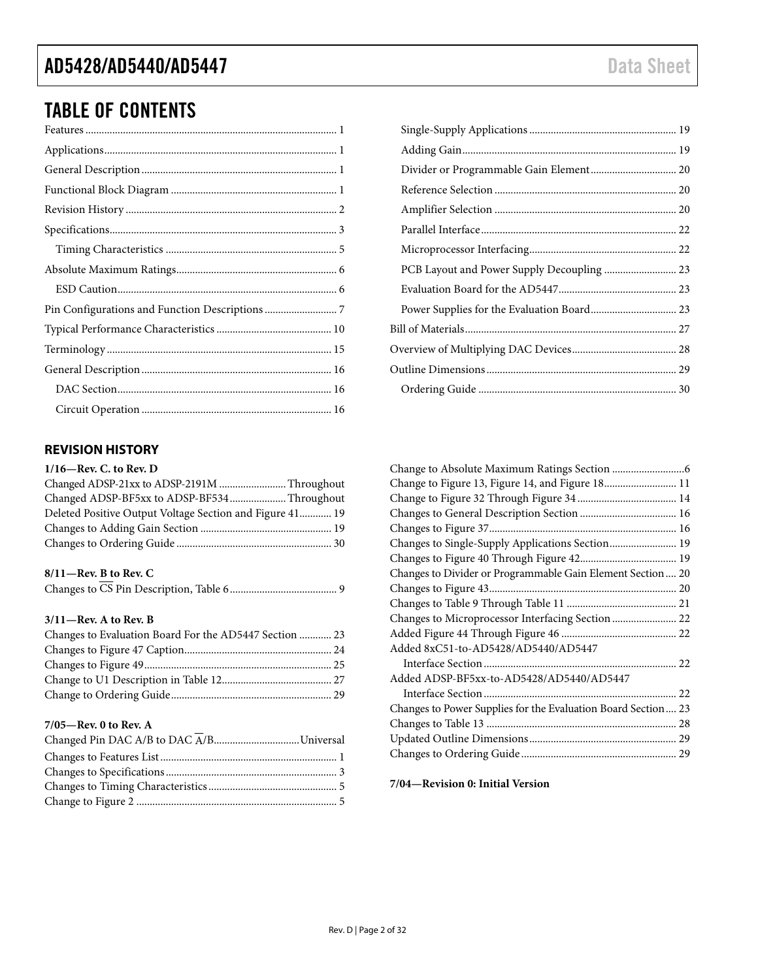# TABLE OF CONTENTS

# <span id="page-1-0"></span>**REVISION HISTORY**

| Changed ADSP-21xx to ADSP-2191M Throughout               |
|----------------------------------------------------------|
| Changed ADSP-BF5xx to ADSP-BF534 Throughout              |
| Deleted Positive Output Voltage Section and Figure 41 19 |
|                                                          |
|                                                          |
|                                                          |

# **8/11—Rev. B to Rev. C**

### **3/11—Rev. A to Rev. B**

| Changes to Evaluation Board For the AD5447 Section  23 |  |
|--------------------------------------------------------|--|
|                                                        |  |
|                                                        |  |
|                                                        |  |
|                                                        |  |

### **7/05—Rev. 0 to Rev. A**

| PCB Layout and Power Supply Decoupling  23 |  |
|--------------------------------------------|--|
|                                            |  |
|                                            |  |
|                                            |  |
|                                            |  |
|                                            |  |
|                                            |  |

| Change to Figure 13, Figure 14, and Figure 18 11              |
|---------------------------------------------------------------|
|                                                               |
|                                                               |
|                                                               |
| Changes to Single-Supply Applications Section 19              |
|                                                               |
| Changes to Divider or Programmable Gain Element Section 20    |
|                                                               |
|                                                               |
| Changes to Microprocessor Interfacing Section  22             |
|                                                               |
| Added 8xC51-to-AD5428/AD5440/AD5447                           |
|                                                               |
| Added ADSP-BF5xx-to-AD5428/AD5440/AD5447                      |
|                                                               |
| Changes to Power Supplies for the Evaluation Board Section 23 |
|                                                               |
|                                                               |
|                                                               |

**7/04—Revision 0: Initial Version**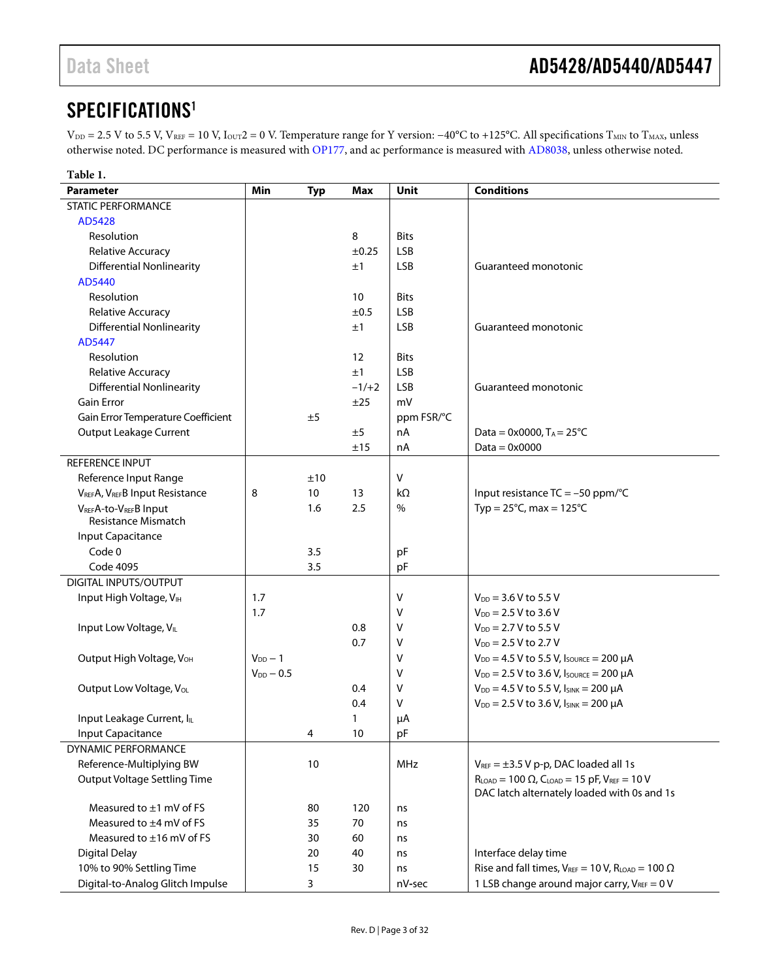# <span id="page-2-0"></span>SPECIFICATIO[NS1](#page-3-0)

V<sub>DD</sub> = 2.5 V to 5.5 V, V<sub>REF</sub> = 10 V, I<sub>OUT</sub>2 = 0 V. Temperature range for Y version: −40°C to +125°C. All specifications T<sub>MIN</sub> to T<sub>MAX</sub>, unless otherwise noted. DC performance is measured wit[h OP177,](http://www.analog.com/OP177?doc=AD5428_5440_5447.pdf) and ac performance is measured with [AD8038,](http://www.analog.com/AD8038?doc=AD5428_5440_5447.pdf) unless otherwise noted.

| Table 1.                             |                |            |         |              |                                                                 |
|--------------------------------------|----------------|------------|---------|--------------|-----------------------------------------------------------------|
| <b>Parameter</b>                     | Min            | <b>Typ</b> | Max     | Unit         | <b>Conditions</b>                                               |
| <b>STATIC PERFORMANCE</b>            |                |            |         |              |                                                                 |
| AD5428                               |                |            |         |              |                                                                 |
| Resolution                           |                |            | 8       | <b>Bits</b>  |                                                                 |
| Relative Accuracy                    |                |            | ±0.25   | <b>LSB</b>   |                                                                 |
| <b>Differential Nonlinearity</b>     |                |            | ±1      | <b>LSB</b>   | Guaranteed monotonic                                            |
| AD5440                               |                |            |         |              |                                                                 |
| Resolution                           |                |            | 10      | <b>Bits</b>  |                                                                 |
| Relative Accuracy                    |                |            | ±0.5    | <b>LSB</b>   |                                                                 |
| <b>Differential Nonlinearity</b>     |                |            | ±1      | <b>LSB</b>   | Guaranteed monotonic                                            |
| AD5447                               |                |            |         |              |                                                                 |
| Resolution                           |                |            | 12      | <b>Bits</b>  |                                                                 |
| Relative Accuracy                    |                |            | ±1      | <b>LSB</b>   |                                                                 |
| <b>Differential Nonlinearity</b>     |                |            | $-1/+2$ | <b>LSB</b>   | Guaranteed monotonic                                            |
| <b>Gain Error</b>                    |                |            | ±25     | mV           |                                                                 |
| Gain Error Temperature Coefficient   |                | ±5         |         | ppm FSR/°C   |                                                                 |
| Output Leakage Current               |                |            | ±5      | nA           | Data = $0x0000$ , T <sub>A</sub> = $25^{\circ}$ C               |
|                                      |                |            | ±15     | nA           | Data = $0 \times 0000$                                          |
| REFERENCE INPUT                      |                |            |         |              |                                                                 |
| Reference Input Range                |                | ±10        |         | $\mathsf{V}$ |                                                                 |
| VREFA, VREFB Input Resistance        | 8              | 10         | 13      | $k\Omega$    | Input resistance TC = -50 ppm/°C                                |
| VREFA-to-VREFB Input                 |                | 1.6        | 2.5     | $\%$         | Typ = $25^{\circ}$ C, max = $125^{\circ}$ C                     |
| <b>Resistance Mismatch</b>           |                |            |         |              |                                                                 |
| Input Capacitance                    |                |            |         |              |                                                                 |
| Code 0                               |                | 3.5        |         | pF           |                                                                 |
| Code 4095                            |                | 3.5        |         | pF           |                                                                 |
| DIGITAL INPUTS/OUTPUT                |                |            |         |              |                                                                 |
| Input High Voltage, VIH              | 1.7            |            |         | $\vee$       | $V_{DD}$ = 3.6 V to 5.5 V                                       |
|                                      | 1.7            |            |         | v            | $V_{DD} = 2.5 V$ to 3.6 V                                       |
| Input Low Voltage, VIL               |                |            | 0.8     | v            | $V_{DD}$ = 2.7 V to 5.5 V                                       |
|                                      |                |            | 0.7     | v            | $V_{DD} = 2.5 V$ to 2.7 V                                       |
| Output High Voltage, V <sub>OH</sub> | $V_{DD}$ - 1   |            |         | v            | $V_{DD} = 4.5 V$ to 5.5 V, $I_{SOURCE} = 200 \mu A$             |
|                                      | $V_{DD} - 0.5$ |            |         | v            | $V_{DD} = 2.5 V$ to 3.6 V, Isource = 200 µA                     |
| Output Low Voltage, V <sub>OL</sub>  |                |            | 0.4     | ۷            | $V_{DD} = 4.5 V$ to 5.5 V, $I_{SINK} = 200 \mu A$               |
|                                      |                |            | 0.4     | ۷            | $V_{DD}$ = 2.5 V to 3.6 V, $I_{SINK}$ = 200 µA                  |
| Input Leakage Current, ILL           |                |            | 1       | μA           |                                                                 |
| Input Capacitance                    |                | 4          | 10      | pF           |                                                                 |
| DYNAMIC PERFORMANCE                  |                |            |         |              |                                                                 |
| Reference-Multiplying BW             |                | 10         |         | MHz          | $V_{REF} = \pm 3.5 V p-p$ , DAC loaded all 1s                   |
| <b>Output Voltage Settling Time</b>  |                |            |         |              | $R_{LOAD} = 100 \Omega$ , $C_{LOAD} = 15 pF$ , $V_{REF} = 10 V$ |
|                                      |                |            |         |              | DAC latch alternately loaded with 0s and 1s                     |
| Measured to $\pm 1$ mV of FS         |                | 80         | 120     | ns           |                                                                 |
| Measured to ±4 mV of FS              |                | 35         | 70      | ns           |                                                                 |
| Measured to ±16 mV of FS             |                | 30         | 60      | ns           |                                                                 |
| <b>Digital Delay</b>                 |                | 20         | 40      | ns           | Interface delay time                                            |
| 10% to 90% Settling Time             |                | 15         | 30      | ns           | Rise and fall times, $V_{REF} = 10 V$ , $R_{LOAD} = 100 \Omega$ |
| Digital-to-Analog Glitch Impulse     |                | 3          |         | nV-sec       | 1 LSB change around major carry, VREF = 0 V                     |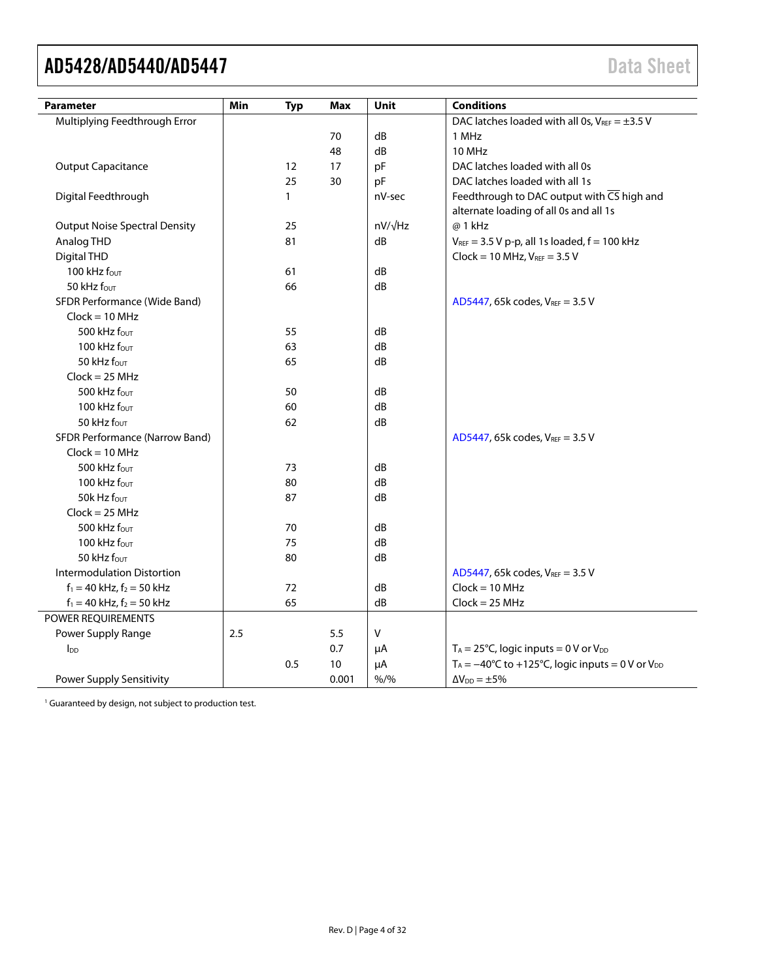<span id="page-3-0"></span>

| <b>Parameter</b>                     | Min | <b>Typ</b>   | Max   | Unit           | <b>Conditions</b>                                                                                 |
|--------------------------------------|-----|--------------|-------|----------------|---------------------------------------------------------------------------------------------------|
| Multiplying Feedthrough Error        |     |              |       |                | DAC latches loaded with all 0s, $V_{REF} = \pm 3.5 V$                                             |
|                                      |     |              | 70    | dB             | 1 MHz                                                                                             |
|                                      |     |              | 48    | dB             | <b>10 MHz</b>                                                                                     |
| <b>Output Capacitance</b>            |     | 12           | 17    | pF             | DAC latches loaded with all 0s                                                                    |
|                                      |     | 25           | 30    | pF             | DAC latches loaded with all 1s                                                                    |
| Digital Feedthrough                  |     | $\mathbf{1}$ |       | nV-sec         | Feedthrough to DAC output with $\overline{CS}$ high and<br>alternate loading of all 0s and all 1s |
| <b>Output Noise Spectral Density</b> |     | 25           |       | $nV/\sqrt{Hz}$ | @ 1 kHz                                                                                           |
| Analog THD                           |     | 81           |       | dB             | $V_{REF}$ = 3.5 V p-p, all 1s loaded, $f$ = 100 kHz                                               |
| <b>Digital THD</b>                   |     |              |       |                | $Clock = 10 MHz, VREF = 3.5 V$                                                                    |
| 100 kHz $f_{\text{OUT}}$             |     | 61           |       | dB             |                                                                                                   |
| 50 kHz four                          |     | 66           |       | dB             |                                                                                                   |
| SFDR Performance (Wide Band)         |     |              |       |                | AD5447, 65k codes, $V_{REF} = 3.5 V$                                                              |
| $Clock = 10 MHz$                     |     |              |       |                |                                                                                                   |
| 500 kHz fout                         |     | 55           |       | dB             |                                                                                                   |
| 100 kHz fout                         |     | 63           |       | dB             |                                                                                                   |
| 50 kHz four                          |     | 65           |       | dB             |                                                                                                   |
| $Clock = 25 MHz$                     |     |              |       |                |                                                                                                   |
| 500 kHz fout                         |     | 50           |       | dB             |                                                                                                   |
| 100 kHz fout                         |     | 60           |       | dB             |                                                                                                   |
| 50 kHz four                          |     | 62           |       | dB             |                                                                                                   |
| SFDR Performance (Narrow Band)       |     |              |       |                | AD5447, 65k codes, VREF = 3.5 V                                                                   |
| $Clock = 10 MHz$                     |     |              |       |                |                                                                                                   |
| 500 kHz four                         |     | 73           |       | dB             |                                                                                                   |
| 100 kHz four                         |     | 80           |       | dB             |                                                                                                   |
| 50 $k$ Hz $f_{\text{OUT}}$           |     | 87           |       | dB             |                                                                                                   |
| $Clock = 25 MHz$                     |     |              |       |                |                                                                                                   |
| 500 kHz $f_{\text{OUT}}$             |     | 70           |       | dB             |                                                                                                   |
| 100 kHz four                         |     | 75           |       | dB             |                                                                                                   |
| 50 kHz four                          |     | 80           |       | dB             |                                                                                                   |
| <b>Intermodulation Distortion</b>    |     |              |       |                | AD5447, 65k codes, VREF = 3.5 V                                                                   |
| $f_1 = 40$ kHz, $f_2 = 50$ kHz       |     | 72           |       | dB             | $Clock = 10 MHz$                                                                                  |
| $f_1 = 40$ kHz, $f_2 = 50$ kHz       |     | 65           |       | dB             | $Clock = 25 MHz$                                                                                  |
| POWER REQUIREMENTS                   |     |              |       |                |                                                                                                   |
| Power Supply Range                   | 2.5 |              | 5.5   | V              |                                                                                                   |
| $\mathsf{In}$                        |     |              | 0.7   | μA             | $T_A = 25^{\circ}C$ , logic inputs = 0 V or V <sub>DD</sub>                                       |
|                                      |     | 0.5          | 10    | μA             | $T_A = -40^{\circ}C$ to +125°C, logic inputs = 0 V or V <sub>DD</sub>                             |
| Power Supply Sensitivity             |     |              | 0.001 | $% /$ %        | $\Delta V_{DD} = \pm 5\%$                                                                         |

<sup>1</sup> Guaranteed by design, not subject to production test.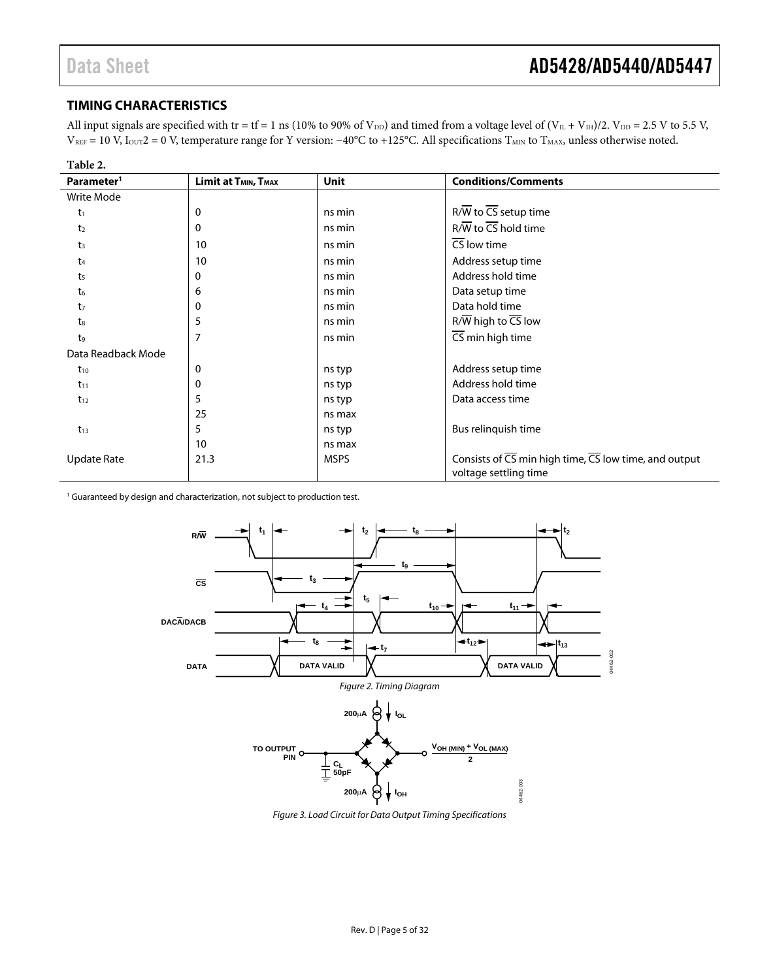### <span id="page-4-0"></span>**TIMING CHARACTERISTICS**

All input signals are specified with tr = tf = 1 ns (10% to 90% of  $V_{DD}$ ) and timed from a voltage level of  $(V_{IL} + V_{IH})/2$ .  $V_{DD} = 2.5$  V to 5.5 V, V<sub>REF</sub> = 10 V, I<sub>OUT</sub>2 = 0 V, temperature range for Y version: −40°C to +125°C. All specifications T<sub>MIN</sub> to T<sub>MAX</sub>, unless otherwise noted.

| Table 2.               |                                              |             |                                                                                                          |
|------------------------|----------------------------------------------|-------------|----------------------------------------------------------------------------------------------------------|
| Parameter <sup>1</sup> | Limit at T <sub>MIN</sub> , T <sub>MAX</sub> | <b>Unit</b> | <b>Conditions/Comments</b>                                                                               |
| Write Mode             |                                              |             |                                                                                                          |
| $t_1$                  | 0                                            | ns min      | $R/\overline{W}$ to $\overline{CS}$ setup time                                                           |
| t <sub>2</sub>         | $\Omega$                                     | ns min      | $R/\overline{W}$ to $\overline{CS}$ hold time                                                            |
| t <sub>3</sub>         | 10                                           | ns min      | $\overline{\text{CS}}$ low time                                                                          |
| $t_4$                  | 10                                           | ns min      | Address setup time                                                                                       |
| t <sub>5</sub>         | $\Omega$                                     | ns min      | Address hold time                                                                                        |
| t <sub>6</sub>         | 6                                            | ns min      | Data setup time                                                                                          |
| t <sub>7</sub>         | 0                                            | ns min      | Data hold time                                                                                           |
| $t_8$                  | 5                                            | ns min      | $R/\overline{W}$ high to $\overline{CS}$ low                                                             |
| t9                     | $\overline{7}$                               | ns min      | $\overline{\text{CS}}$ min high time                                                                     |
| Data Readback Mode     |                                              |             |                                                                                                          |
| $t_{10}$               | $\Omega$                                     | ns typ      | Address setup time                                                                                       |
| $t_{11}$               | 0                                            | ns typ      | Address hold time                                                                                        |
| $t_{12}$               | 5                                            | ns typ      | Data access time                                                                                         |
|                        | 25                                           | ns max      |                                                                                                          |
| $t_{13}$               | 5                                            | ns typ      | Bus relinquish time                                                                                      |
|                        | 10                                           | ns max      |                                                                                                          |
| <b>Update Rate</b>     | 21.3                                         | <b>MSPS</b> | Consists of $\overline{CS}$ min high time, $\overline{CS}$ low time, and output<br>voltage settling time |

<sup>1</sup> Guaranteed by design and characterization, not subject to production test.



Figure 3. Load Circuit for Data Output Timing Specifications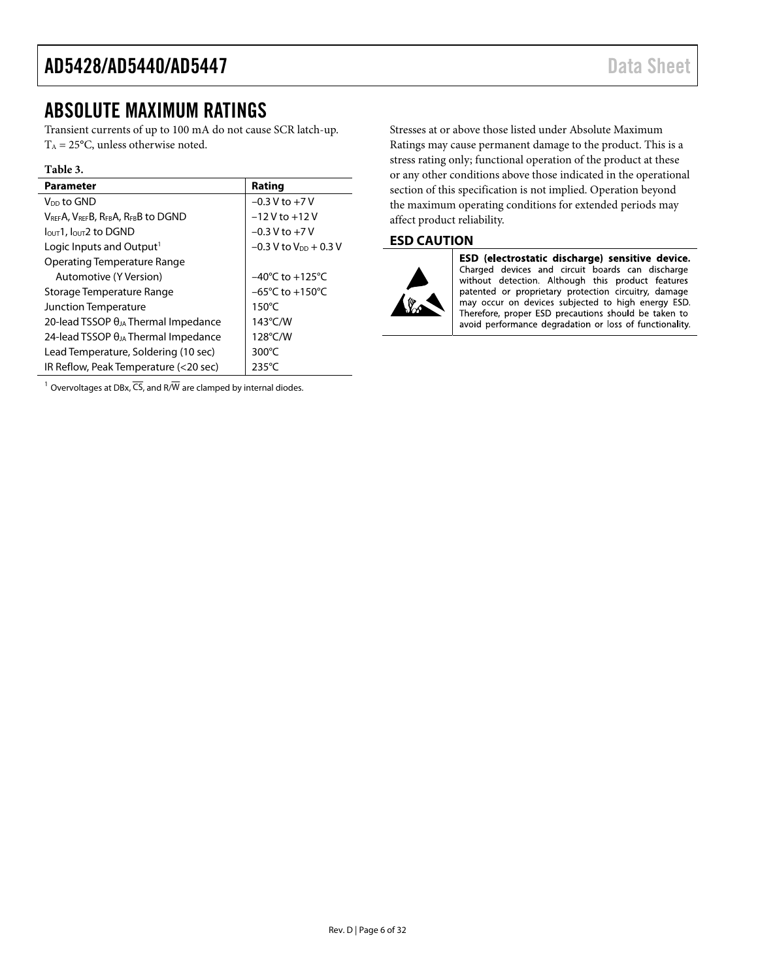# <span id="page-5-0"></span>ABSOLUTE MAXIMUM RATINGS

Transient currents of up to 100 mA do not cause SCR latch-up.  $T_A = 25$ °C, unless otherwise noted.

#### **Table 3.**

| Parameter                                     | Rating                               |
|-----------------------------------------------|--------------------------------------|
| V <sub>DD</sub> to GND                        | $-0.3 V$ to $+7V$                    |
| VREFA, VREFB, RFBA, RFBB to DGND              | $-12V$ to $+12V$                     |
| $IOUT1$ , $IOUT2$ to DGND                     | $-0.3 V$ to $+7 V$                   |
| Logic Inputs and Output <sup>1</sup>          | $-0.3$ V to V <sub>DD</sub> $+0.3$ V |
| <b>Operating Temperature Range</b>            |                                      |
| Automotive (Y Version)                        | $-40^{\circ}$ C to $+125^{\circ}$ C  |
| Storage Temperature Range                     | $-65^{\circ}$ C to $+150^{\circ}$ C  |
| Junction Temperature                          | $150^{\circ}$ C                      |
| 20-lead TSSOP $\theta_{JA}$ Thermal Impedance | $143^{\circ}$ C/W                    |
| 24-lead TSSOP $\theta_{JA}$ Thermal Impedance | 128°C/W                              |
| Lead Temperature, Soldering (10 sec)          | $300^{\circ}$ C                      |
| IR Reflow, Peak Temperature (<20 sec)         | $235^{\circ}$ C                      |

<sup>1</sup> Overvoltages at DBx,  $\overline{CS}$ , and R/ $\overline{W}$  are clamped by internal diodes.

Stresses at or above those listed under Absolute Maximum Ratings may cause permanent damage to the product. This is a stress rating only; functional operation of the product at these or any other conditions above those indicated in the operational section of this specification is not implied. Operation beyond the maximum operating conditions for extended periods may affect product reliability.

# <span id="page-5-1"></span>**ESD CAUTION**



ESD (electrostatic discharge) sensitive device. Charged devices and circuit boards can discharge without detection. Although this product features patented or proprietary protection circuitry, damage may occur on devices subjected to high energy ESD. Therefore, proper ESD precautions should be taken to avoid performance degradation or loss of functionality.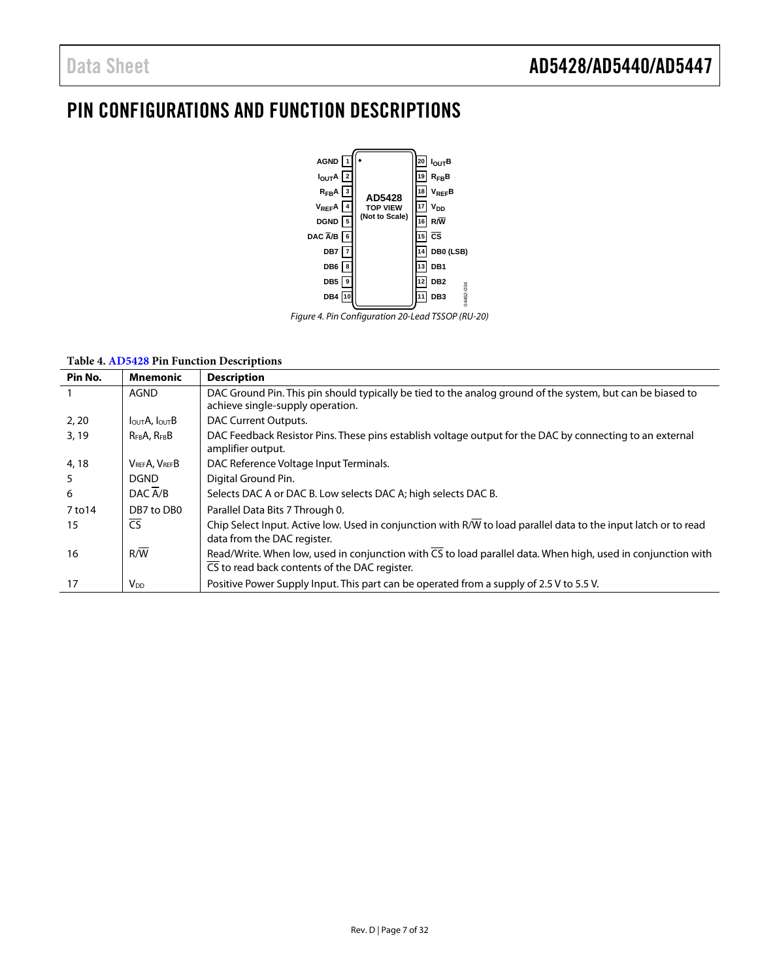# <span id="page-6-0"></span>PIN CONFIGURATIONS AND FUNCTION DESCRIPTIONS



Figure 4. Pin Configuration 20-Lead TSSOP (RU-20)

#### **Table 4[. AD5428 P](http://www.analog.com/AD5428?doc=AD5428_5440_5447.pdf)in Function Descriptions**

| Pin No. | <b>Mnemonic</b>                        | <b>Description</b>                                                                                                                                            |
|---------|----------------------------------------|---------------------------------------------------------------------------------------------------------------------------------------------------------------|
|         | AGND                                   | DAC Ground Pin. This pin should typically be tied to the analog ground of the system, but can be biased to<br>achieve single-supply operation.                |
| 2, 20   | I <sub>OUT</sub> A, I <sub>OUT</sub> B | DAC Current Outputs.                                                                                                                                          |
| 3,19    | $R_{FB}A$ , $R_{FB}B$                  | DAC Feedback Resistor Pins. These pins establish voltage output for the DAC by connecting to an external<br>amplifier output.                                 |
| 4, 18   | VREFA, VREFB                           | DAC Reference Voltage Input Terminals.                                                                                                                        |
| 5       | <b>DGND</b>                            | Digital Ground Pin.                                                                                                                                           |
| 6       | DAC A/B                                | Selects DAC A or DAC B. Low selects DAC A; high selects DAC B.                                                                                                |
| 7 to 14 | DB7 to DB0                             | Parallel Data Bits 7 Through 0.                                                                                                                               |
| 15      | $\overline{\text{CS}}$                 | Chip Select Input. Active low. Used in conjunction with R/W to load parallel data to the input latch or to read<br>data from the DAC register.                |
| 16      | R/W                                    | Read/Write. When low, used in conjunction with CS to load parallel data. When high, used in conjunction with<br>CS to read back contents of the DAC register. |
| 17      | <b>V</b> <sub>DD</sub>                 | Positive Power Supply Input. This part can be operated from a supply of 2.5 V to 5.5 V.                                                                       |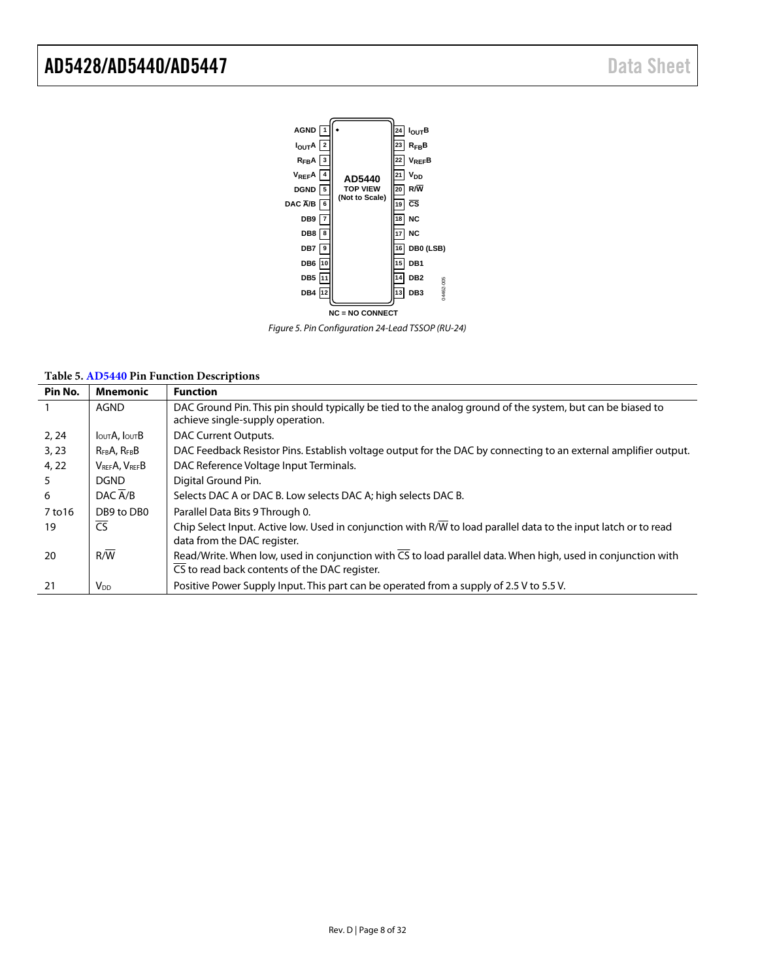

Figure 5. Pin Configuration 24-Lead TSSOP (RU-24)

| Pin No. | <b>Mnemonic</b>                        | <b>Function</b>                                                                                                                                                                   |
|---------|----------------------------------------|-----------------------------------------------------------------------------------------------------------------------------------------------------------------------------------|
|         | AGND                                   | DAC Ground Pin. This pin should typically be tied to the analog ground of the system, but can be biased to<br>achieve single-supply operation.                                    |
| 2, 24   | I <sub>OUT</sub> A, I <sub>OUT</sub> B | DAC Current Outputs.                                                                                                                                                              |
| 3, 23   | $R_{FB}A$ , $R_{FB}B$                  | DAC Feedback Resistor Pins. Establish voltage output for the DAC by connecting to an external amplifier output.                                                                   |
| 4, 22   | VREFA, VREFB                           | DAC Reference Voltage Input Terminals.                                                                                                                                            |
| 5       | <b>DGND</b>                            | Digital Ground Pin.                                                                                                                                                               |
| 6       | DAC A/B                                | Selects DAC A or DAC B. Low selects DAC A; high selects DAC B.                                                                                                                    |
| 7 to 16 | DB9 to DB0                             | Parallel Data Bits 9 Through 0.                                                                                                                                                   |
| 19      | <b>CS</b>                              | Chip Select Input. Active low. Used in conjunction with R/W to load parallel data to the input latch or to read<br>data from the DAC register.                                    |
| 20      | R/W                                    | Read/Write. When low, used in conjunction with $\overline{\text{CS}}$ to load parallel data. When high, used in conjunction with<br>CS to read back contents of the DAC register. |
| 21      | V <sub>DD</sub>                        | Positive Power Supply Input. This part can be operated from a supply of 2.5 V to 5.5 V.                                                                                           |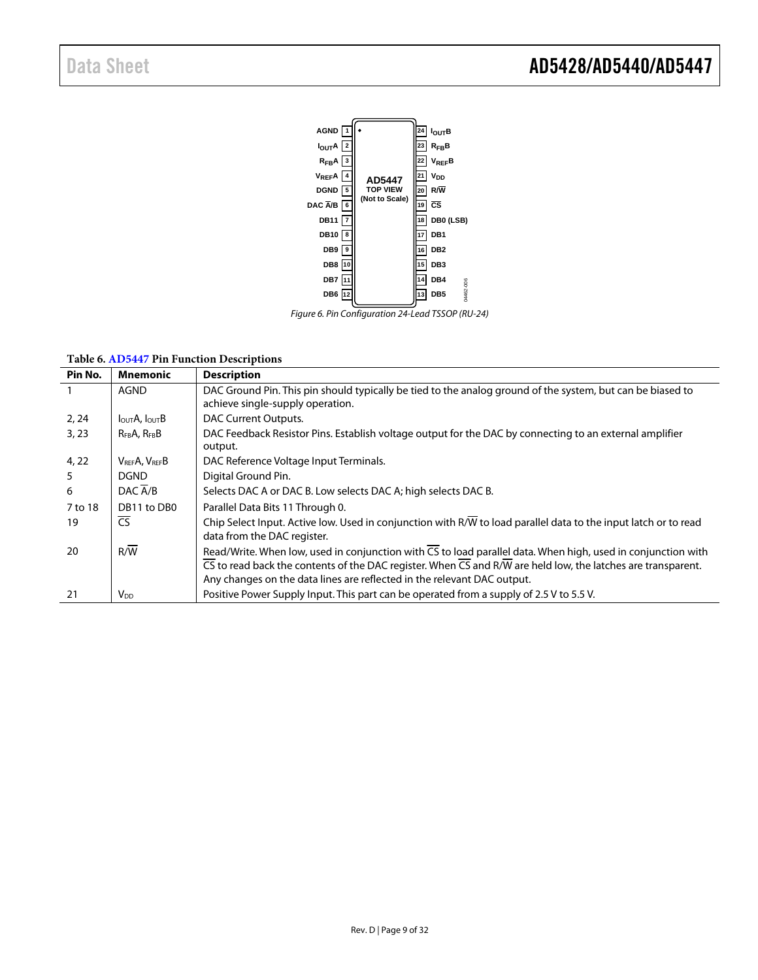

Figure 6. Pin Configuration 24-Lead TSSOP (RU-24)

#### **Table 6[. AD5447 P](http://www.analog.com/AD5447?doc=AD5428_5440_5447.pdf)in Function Descriptions**

| Pin No. | <b>Mnemonic</b>                        | <b>Description</b>                                                                                                                                                                                                                                                                                                                |
|---------|----------------------------------------|-----------------------------------------------------------------------------------------------------------------------------------------------------------------------------------------------------------------------------------------------------------------------------------------------------------------------------------|
|         | <b>AGND</b>                            | DAC Ground Pin. This pin should typically be tied to the analog ground of the system, but can be biased to<br>achieve single-supply operation.                                                                                                                                                                                    |
| 2, 24   | I <sub>OUT</sub> A, I <sub>OUT</sub> B | DAC Current Outputs.                                                                                                                                                                                                                                                                                                              |
| 3.23    | $R_{FB}A$ , $R_{FB}B$                  | DAC Feedback Resistor Pins. Establish voltage output for the DAC by connecting to an external amplifier<br>output.                                                                                                                                                                                                                |
| 4, 22   | VREFA, VREFB                           | DAC Reference Voltage Input Terminals.                                                                                                                                                                                                                                                                                            |
|         | <b>DGND</b>                            | Digital Ground Pin.                                                                                                                                                                                                                                                                                                               |
| 6       | DAC $\overline{A/B}$                   | Selects DAC A or DAC B. Low selects DAC A; high selects DAC B.                                                                                                                                                                                                                                                                    |
| 7 to 18 | DB11 to DB0                            | Parallel Data Bits 11 Through 0.                                                                                                                                                                                                                                                                                                  |
| 19      | CS                                     | Chip Select Input. Active low. Used in conjunction with R/W to load parallel data to the input latch or to read<br>data from the DAC register.                                                                                                                                                                                    |
| 20      | R/W                                    | Read/Write. When low, used in conjunction with CS to load parallel data. When high, used in conjunction with<br>$\overline{CS}$ to read back the contents of the DAC register. When $\overline{CS}$ and R/W are held low, the latches are transparent.<br>Any changes on the data lines are reflected in the relevant DAC output. |
| 21      | V <sub>DD</sub>                        | Positive Power Supply Input. This part can be operated from a supply of 2.5 V to 5.5 V.                                                                                                                                                                                                                                           |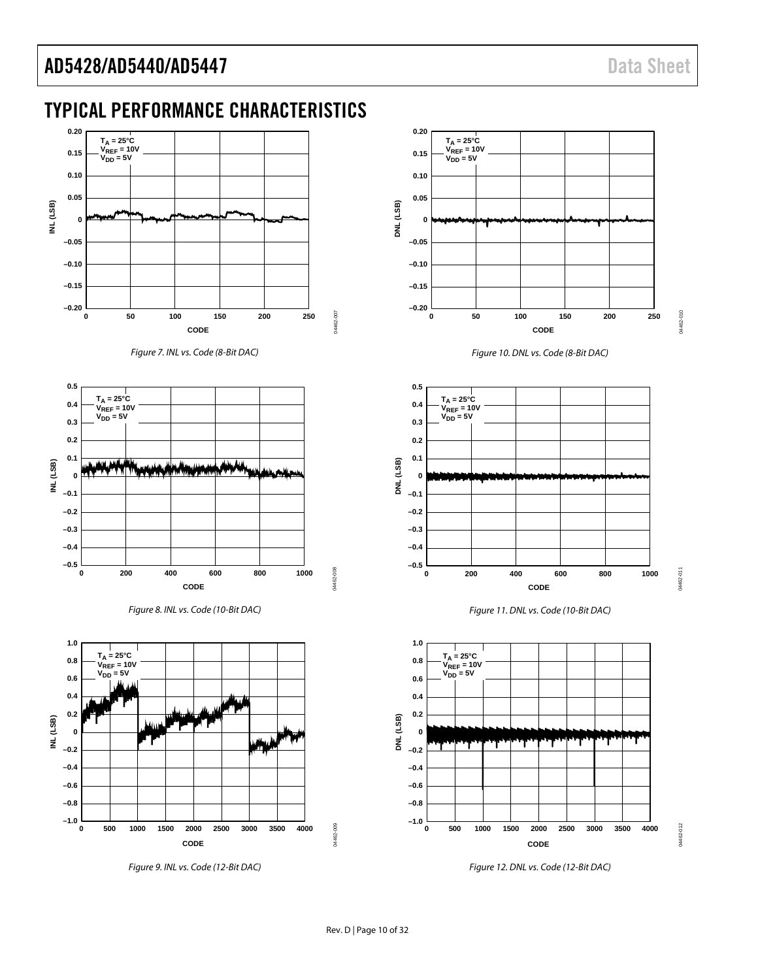# <span id="page-9-0"></span>TYPICAL PERFORMANCE CHARACTERISTICS



Figure 7. INL vs. Code (8-Bit DAC)







Figure 9. INL vs. Code (12-Bit DAC)



Figure 10. DNL vs. Code (8-Bit DAC)







Figure 12. DNL vs. Code (12-Bit DAC)

04462-011

04462-011

4462-012 04462-012

04462-009

04462-009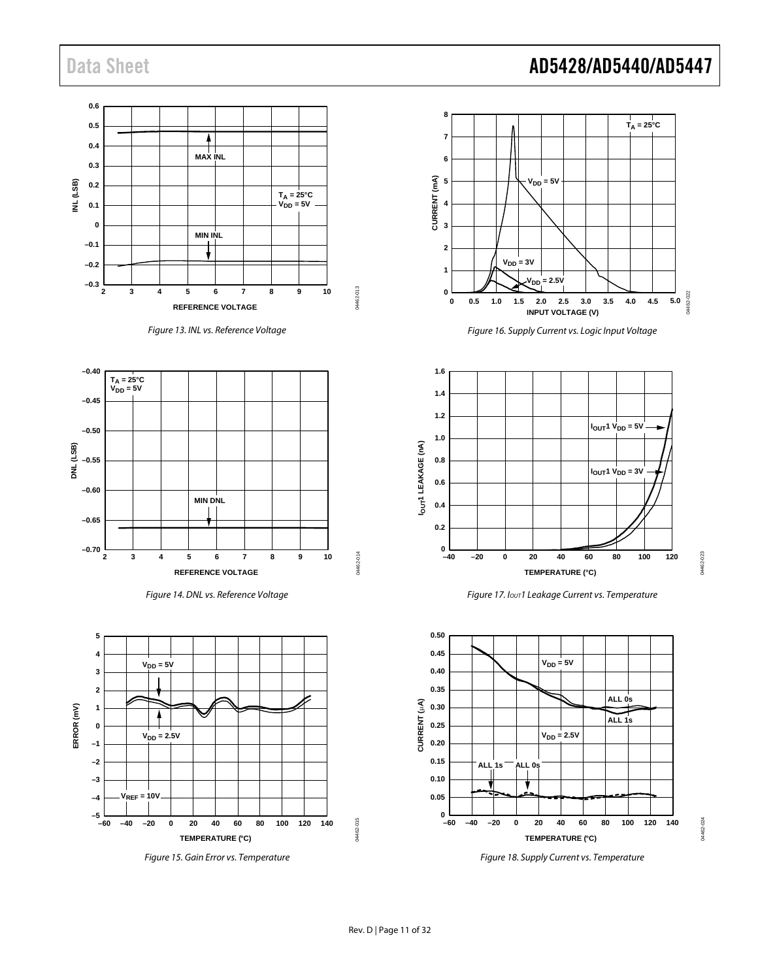









Figure 15. Gain Error vs. Temperature

# Data Sheet **AD5428/AD5440/AD5447**



Figure 16. Supply Current vs. Logic Input Voltage



Figure 17. I<sub>OUT</sub>1 Leakage Current vs. Temperature



Figure 18. Supply Current vs. Temperature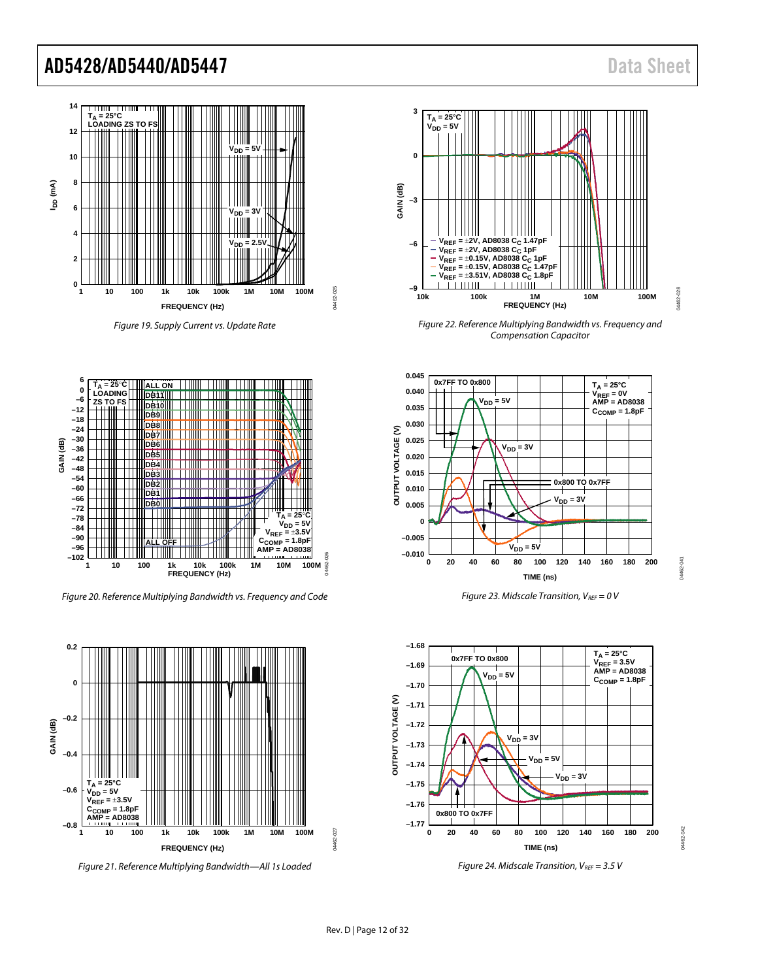04462-041

M462-04

04462-042

M462-042



Figure 19. Supply Current vs. Update Rate

04462-025

4462.

**D<sub>25</sub>** 



Figure 20. Reference Multiplying Bandwidth vs. Frequency and Code



Figure 21. Reference Multiplying Bandwidth—All 1s Loaded



Figure 22. Reference Multiplying Bandwidth vs. Frequency and Compensation Capacitor



Figure 23. Midscale Transition,  $V_{REF} = 0$  V



Figure 24. Midscale Transition,  $V_{REF} = 3.5 V$ 

04462-027

4462-027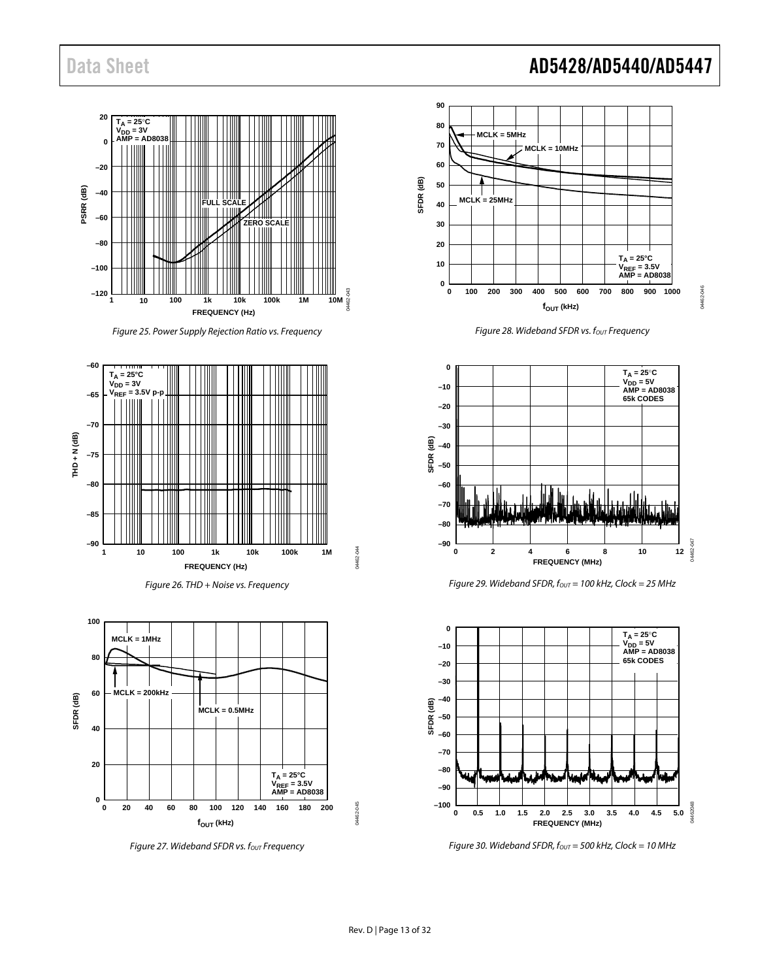# Data Sheet **AD5428/AD5440/AD5447**

04462-046

4462-046



Figure 25. Power Supply Rejection Ratio vs. Frequency







Figure 27. Wideband SFDR vs.  $f_{OUT}$  Frequency



Figure 28. Wideband SFDR vs. fout Frequency



Figure 29. Wideband SFDR,  $f_{OUT} = 100$  kHz, Clock = 25 MHz



Figure 30. Wideband SFDR,  $f_{OUT} = 500$  kHz, Clock = 10 MHz

04462-044

M462-044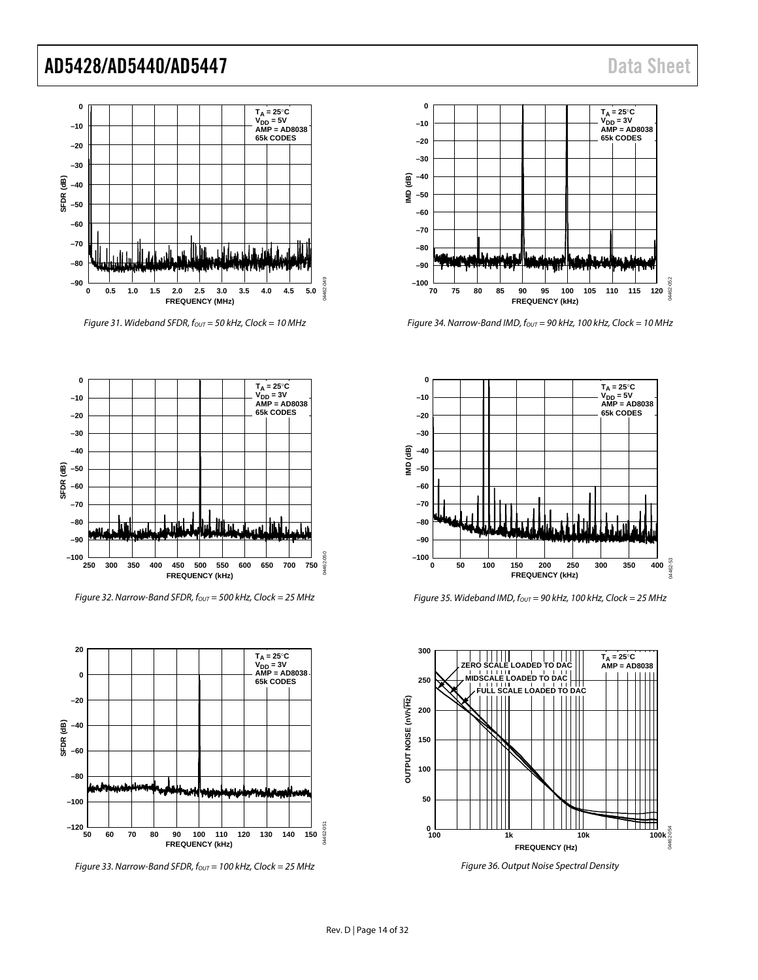

Figure 31. Wideband SFDR,  $f_{OUT} = 50$  kHz, Clock = 10 MHz



Figure 32. Narrow-Band SFDR,  $f_{\text{OUT}} = 500$  kHz, Clock = 25 MHz



Figure 33. Narrow-Band SFDR,  $f_{OUT}$  = 100 kHz, Clock = 25 MHz



Figure 34. Narrow-Band IMD,  $f_{\text{OUT}} = 90$  kHz, 100 kHz, Clock = 10 MHz



Figure 35. Wideband IMD,  $f_{OUT} = 90$  kHz, 100 kHz, Clock = 25 MHz



Figure 36. Output Noise Spectral Density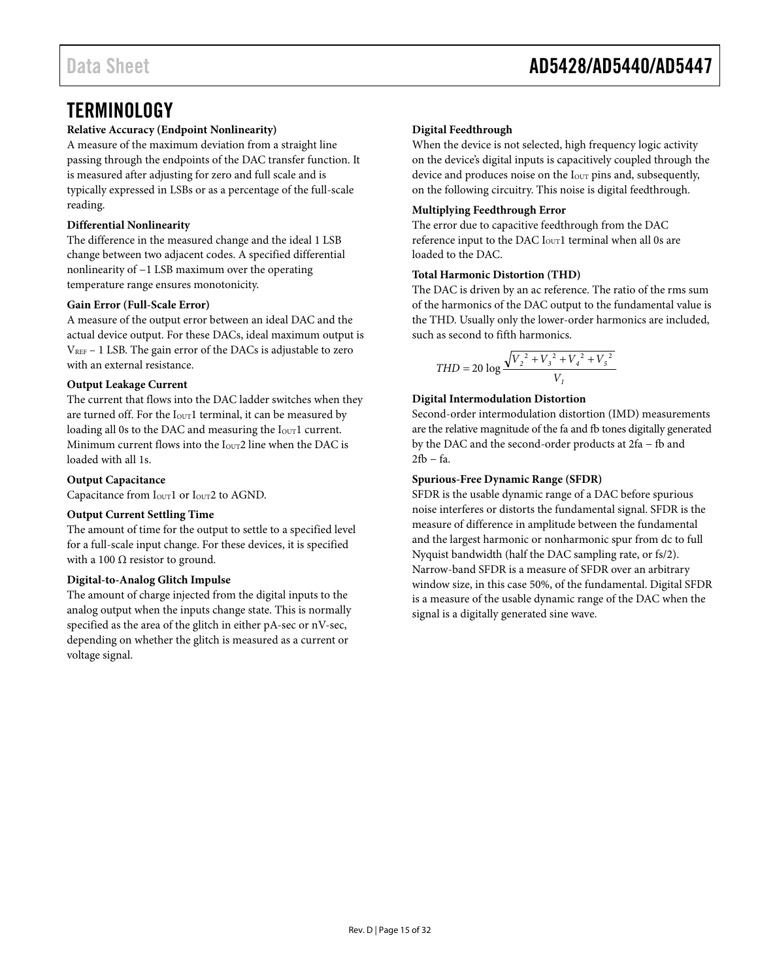# <span id="page-14-0"></span>**TERMINOLOGY**

### **Relative Accuracy (Endpoint Nonlinearity)**

A measure of the maximum deviation from a straight line passing through the endpoints of the DAC transfer function. It is measured after adjusting for zero and full scale and is typically expressed in LSBs or as a percentage of the full-scale reading.

### **Differential Nonlinearity**

The difference in the measured change and the ideal 1 LSB change between two adjacent codes. A specified differential nonlinearity of −1 LSB maximum over the operating temperature range ensures monotonicity.

### **Gain Error (Full-Scale Error)**

A measure of the output error between an ideal DAC and the actual device output. For these DACs, ideal maximum output is  $V_{REF}$  – 1 LSB. The gain error of the DACs is adjustable to zero with an external resistance.

### **Output Leakage Current**

The current that flows into the DAC ladder switches when they are turned off. For the  $I_{\text{OUT}}1$  terminal, it can be measured by loading all 0s to the DAC and measuring the I<sub>OUT</sub>1 current. Minimum current flows into the  $I<sub>OUT</sub>2$  line when the DAC is loaded with all 1s.

### **Output Capacitance**

Capacitance from I<sub>OUT</sub>1 or I<sub>OUT</sub>2 to AGND.

#### **Output Current Settling Time**

The amount of time for the output to settle to a specified level for a full-scale input change. For these devices, it is specified with a 100  $\Omega$  resistor to ground.

#### **Digital-to-Analog Glitch Impulse**

The amount of charge injected from the digital inputs to the analog output when the inputs change state. This is normally specified as the area of the glitch in either pA-sec or nV-sec, depending on whether the glitch is measured as a current or voltage signal.

### **Digital Feedthrough**

When the device is not selected, high frequency logic activity on the device's digital inputs is capacitively coupled through the device and produces noise on the I<sub>OUT</sub> pins and, subsequently, on the following circuitry. This noise is digital feedthrough.

### **Multiplying Feedthrough Error**

The error due to capacitive feedthrough from the DAC reference input to the DAC  $I_{\text{OUT}}1$  terminal when all 0s are loaded to the DAC.

#### **Total Harmonic Distortion (THD)**

The DAC is driven by an ac reference. The ratio of the rms sum of the harmonics of the DAC output to the fundamental value is the THD. Usually only the lower-order harmonics are included, such as second to fifth harmonics.

$$
THD = 20 \log \frac{\sqrt{V_2^2 + V_3^2 + V_4^2 + V_5^2}}{V_1}
$$

### **Digital Intermodulation Distortion**

Second-order intermodulation distortion (IMD) measurements are the relative magnitude of the fa and fb tones digitally generated by the DAC and the second-order products at 2fa − fb and 2fb − fa.

#### **Spurious-Free Dynamic Range (SFDR)**

SFDR is the usable dynamic range of a DAC before spurious noise interferes or distorts the fundamental signal. SFDR is the measure of difference in amplitude between the fundamental and the largest harmonic or nonharmonic spur from dc to full Nyquist bandwidth (half the DAC sampling rate, or fs/2). Narrow-band SFDR is a measure of SFDR over an arbitrary window size, in this case 50%, of the fundamental. Digital SFDR is a measure of the usable dynamic range of the DAC when the signal is a digitally generated sine wave.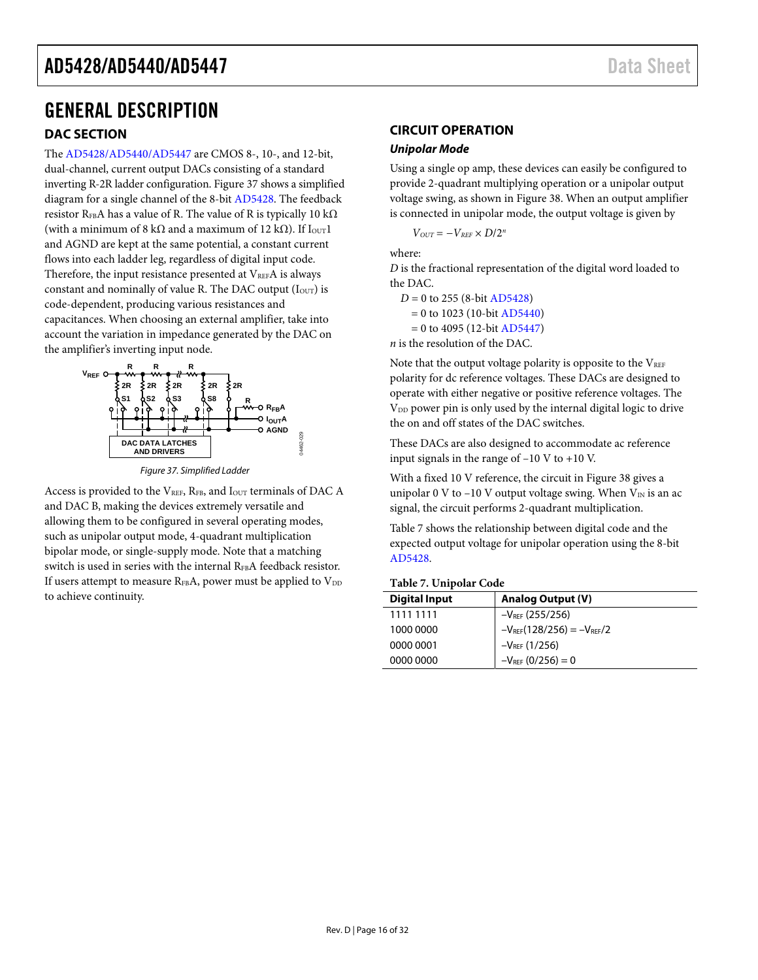# <span id="page-15-0"></span>GENERAL DESCRIPTION

### <span id="page-15-1"></span>**DAC SECTION**

The [AD5428](http://www.analog.com/AD5428?doc=AD5428_5440_5447.pdf)[/AD5440/AD5447 a](http://www.analog.com/AD5428_AD5440_AD5447?doc=AD5428%20AD5440%20AD5447.pdf)re CMOS 8-, 10-, and 12-bit, dual-channel, current output DACs consisting of a standard inverting R-2R ladder configuration. [Figure 37 s](#page-15-3)hows a simplified diagram for a single channel of the 8-bi[t AD5428.](http://www.analog.com/AD5428?doc=AD5428_5440_5447.pdf) The feedback resistor R<sub>FB</sub>A has a value of R. The value of R is typically 10 k $\Omega$ (with a minimum of 8 kΩ and a maximum of 12 kΩ). If  $I_{OUT}1$ and AGND are kept at the same potential, a constant current flows into each ladder leg, regardless of digital input code. Therefore, the input resistance presented at  $V_{REF}A$  is always constant and nominally of value R. The DAC output  $(I<sub>OUT</sub>)$  is code-dependent, producing various resistances and capacitances. When choosing an external amplifier, take into account the variation in impedance generated by the DAC on the amplifier's inverting input node.



Figure 37. Simplified Ladder

<span id="page-15-3"></span>Access is provided to the  $V_{REF}$ ,  $R_{FB}$ , and  $I_{OUT}$  terminals of DAC A and DAC B, making the devices extremely versatile and allowing them to be configured in several operating modes, such as unipolar output mode, 4-quadrant multiplication bipolar mode, or single-supply mode. Note that a matching switch is used in series with the internal RFBA feedback resistor. If users attempt to measure  $R_{FB}A$ , power must be applied to  $V_{DD}$ to achieve continuity.

# <span id="page-15-2"></span>**CIRCUIT OPERATION**

#### **Unipolar Mode**

Using a single op amp, these devices can easily be configured to provide 2-quadrant multiplying operation or a unipolar output voltage swing, as shown in Figure 38. When an output amplifier is connected in unipolar mode, the output voltage is given by

 $V_{OUT} = -V_{RFF} \times D/2^n$ 

where:

*D* is the fractional representation of the digital word loaded to the DAC.

 *D* = 0 to 255 (8-bit [AD5428\)](http://www.analog.com/AD5428?doc=AD5428_5440_5447.pdf) = 0 to 1023 (10-bit [AD5440\)](http://www.analog.com/AD5440?doc=AD5428_5440_5447.pdf)  $= 0$  to 4095 (12-bit [AD5447\)](http://www.analog.com/AD5447?doc=AD5428_5440_5447.pdf)

*n* is the resolution of the DAC.

Note that the output voltage polarity is opposite to the  $V_{REF}$ polarity for dc reference voltages. These DACs are designed to operate with either negative or positive reference voltages. The V<sub>DD</sub> power pin is only used by the internal digital logic to drive the on and off states of the DAC switches.

These DACs are also designed to accommodate ac reference input signals in the range of –10 V to +10 V.

With a fixed 10 V reference, the circuit in [Figure 38 g](#page-16-0)ives a unipolar 0 V to –10 V output voltage swing. When  $V_{IN}$  is an ac signal, the circuit performs 2-quadrant multiplication.

[Table 7](#page-15-4) shows the relationship between digital code and the expected output voltage for unipolar operation using the 8-bit [AD5428.](http://www.analog.com/AD5428?doc=AD5428_5440_5447.pdf) 

#### <span id="page-15-4"></span>**Table 7. Unipolar Code**

| <b>Digital Input</b> | <b>Analog Output (V)</b>         |
|----------------------|----------------------------------|
| 1111 1111            | $-V_{REF}$ (255/256)             |
| 1000 0000            | $-V_{REF}(128/256) = -V_{REF}/2$ |
| 0000 0001            | $-V_{REF}$ (1/256)               |
| 0000 0000            | $-V_{REF}$ (0/256) = 0           |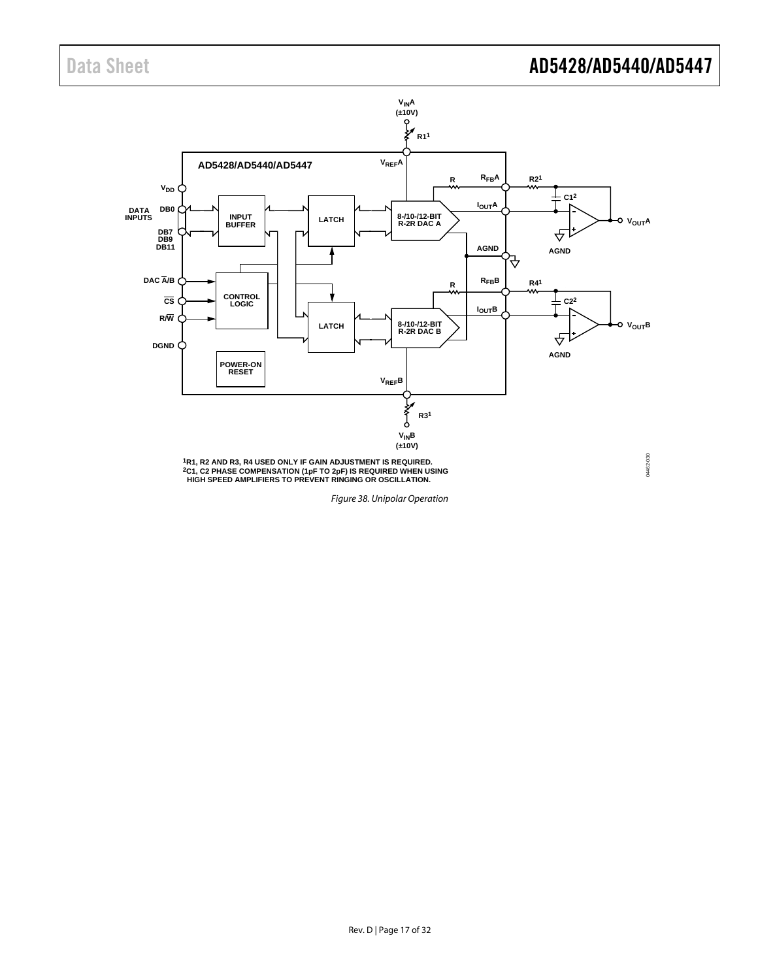# Data Sheet **AD5428/AD5440/AD5447**



<span id="page-16-0"></span>Figure 38. Unipolar Operation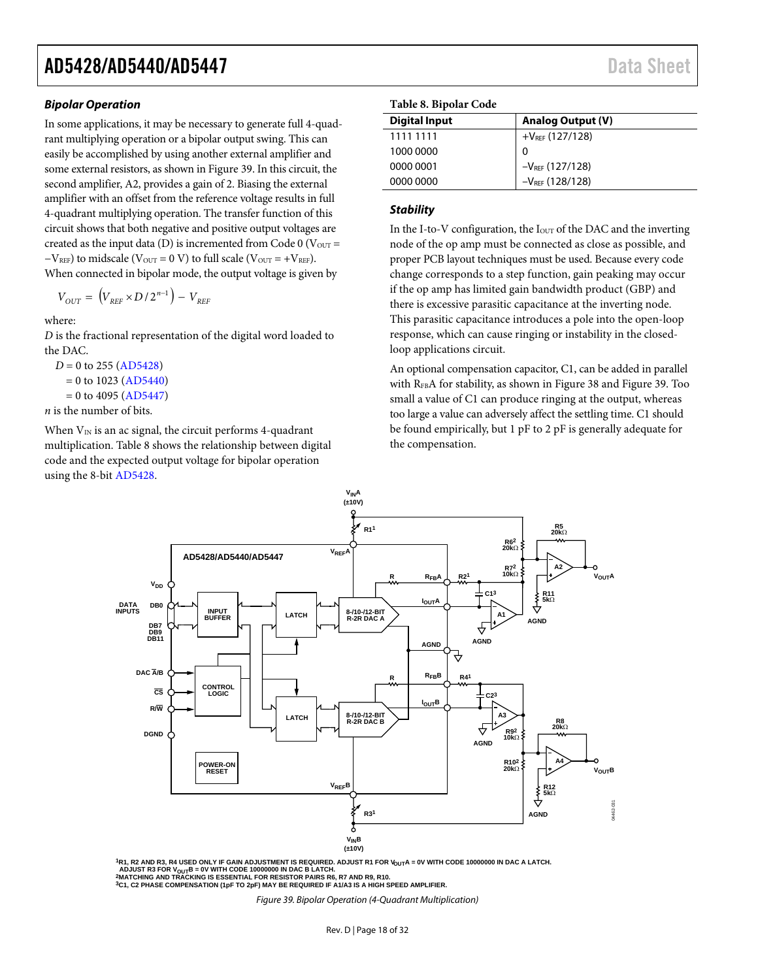#### **Bipolar Operation**

In some applications, it may be necessary to generate full 4-quadrant multiplying operation or a bipolar output swing. This can easily be accomplished by using another external amplifier and some external resistors, as shown i[n Figure 39.](#page-17-0) In this circuit, the second amplifier, A2, provides a gain of 2. Biasing the external amplifier with an offset from the reference voltage results in full 4-quadrant multiplying operation. The transfer function of this circuit shows that both negative and positive output voltages are created as the input data (D) is incremented from Code  $0$  (V<sub>OUT</sub> =  $-V<sub>REF</sub>$ ) to midscale (V<sub>OUT</sub> = 0 V) to full scale (V<sub>OUT</sub> = +V<sub>REF</sub>). When connected in bipolar mode, the output voltage is given by

$$
V_{OUT} = (V_{REF} \times D / 2^{n-1}) - V_{REF}
$$

where:

*D* is the fractional representation of the digital word loaded to the DAC.

 $D = 0$  to 255 [\(AD5428\)](http://www.analog.com/AD5428?doc=AD5428_5440_5447.pdf)  $= 0$  to 1023 [\(AD5440\)](http://www.analog.com/AD5440?doc=AD5428_5440_5447.pdf)  $= 0$  to 4095 [\(AD5447\)](http://www.analog.com/AD5447?doc=AD5428_5440_5447.pdf)

*n* is the number of bits.

When  $V_{IN}$  is an ac signal, the circuit performs 4-quadrant multiplication. [Table 8](#page-17-1) shows the relationship between digital code and the expected output voltage for bipolar operation using the 8-bit [AD5428.](http://www.analog.com/AD5428?doc=AD5428_5440_5447.pdf)

<span id="page-17-1"></span>

|  | <b>Table 8. Bipolar Code</b> |
|--|------------------------------|
|--|------------------------------|

| Tuble of Bipolat Court |                          |  |  |  |  |
|------------------------|--------------------------|--|--|--|--|
| <b>Digital Input</b>   | <b>Analog Output (V)</b> |  |  |  |  |
| 1111 1111              | $+V_{REF}$ (127/128)     |  |  |  |  |
| 1000 0000              | 0                        |  |  |  |  |
| 0000 0001              | $-V_{REF}$ (127/128)     |  |  |  |  |
| 0000 0000              | $-V_{REF}$ (128/128)     |  |  |  |  |
|                        |                          |  |  |  |  |

### **Stability**

In the I-to-V configuration, the Iour of the DAC and the inverting node of the op amp must be connected as close as possible, and proper PCB layout techniques must be used. Because every code change corresponds to a step function, gain peaking may occur if the op amp has limited gain bandwidth product (GBP) and there is excessive parasitic capacitance at the inverting node. This parasitic capacitance introduces a pole into the open-loop response, which can cause ringing or instability in the closedloop applications circuit.

An optional compensation capacitor, C1, can be added in parallel with RFBA for stability, as shown i[n Figure 38](#page-16-0) an[d Figure 39.](#page-17-0) Too small a value of C1 can produce ringing at the output, whereas too large a value can adversely affect the settling time. C1 should be found empirically, but 1 pF to 2 pF is generally adequate for the compensation.



**VINA**

<sup>1</sup>R1, R2 AND R3, R4 USED ONLY IF GAIN ADJUSTMENT IS REQUIRED. ADJUST R1 FOR V<sub>OUT</sub>A = 0V WITH CODE 10000000 IN DAC A LATCH.<br>\_ADJUST R3 FOR V<sub>OUT</sub>B = 0V WITH CODE 10000000 IN DAC B LATCH.<br><sup>2</sup>MATCHING AND TRACKING IS ESSEN

<span id="page-17-0"></span>**3C1, C2 PHASE COMPENSATION (1pF TO 2pF) MAY BE REQUIRED IF A1/A3 IS A HIGH SPEED AMPLIFIER.**

Figure 39. Bipolar Operation (4-Quadrant Multiplication)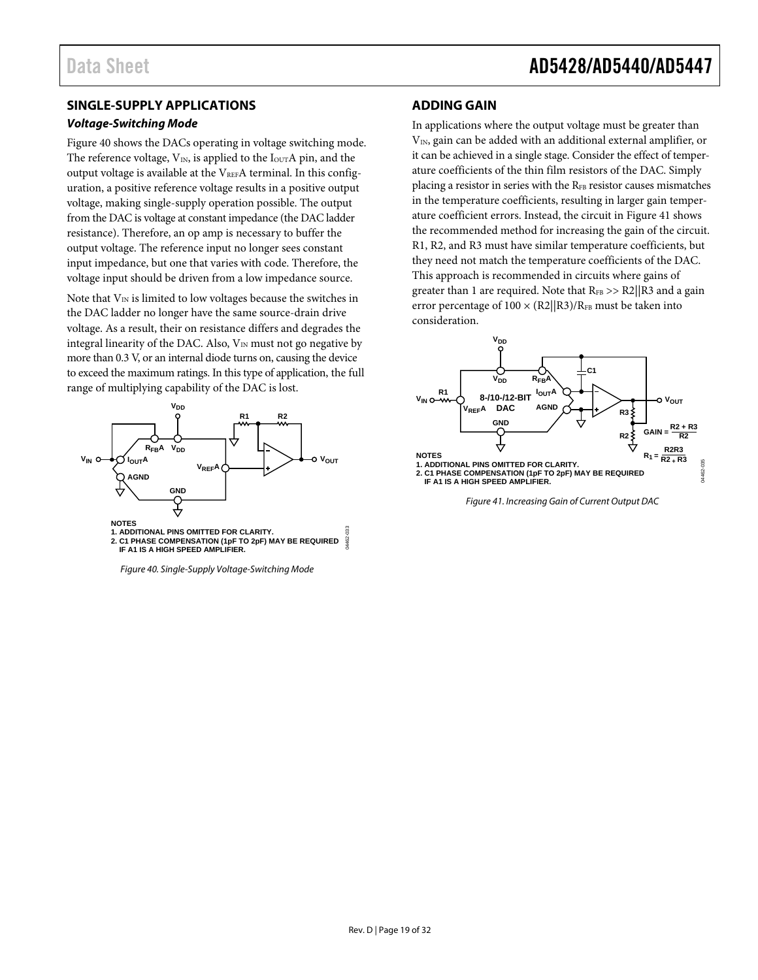### <span id="page-18-0"></span>**SINGLE-SUPPLY APPLICATIONS**

#### **Voltage-Switching Mode**

[Figure 40 s](#page-18-2)hows the DACs operating in voltage switching mode. The reference voltage,  $V_{IN}$ , is applied to the  $I_{OUT}A$  pin, and the output voltage is available at the  $V_{REF}A$  terminal. In this configuration, a positive reference voltage results in a positive output voltage, making single-supply operation possible. The output from the DAC is voltage at constant impedance (the DAC ladder resistance). Therefore, an op amp is necessary to buffer the output voltage. The reference input no longer sees constant input impedance, but one that varies with code. Therefore, the voltage input should be driven from a low impedance source.

Note that  $V_{IN}$  is limited to low voltages because the switches in the DAC ladder no longer have the same source-drain drive voltage. As a result, their on resistance differs and degrades the integral linearity of the DAC. Also,  $V_{IN}$  must not go negative by more than 0.3 V, or an internal diode turns on, causing the device to exceed the maximum ratings. In this type of application, the full range of multiplying capability of the DAC is lost.



<span id="page-18-2"></span>Figure 40. Single-Supply Voltage-Switching Mode

### <span id="page-18-1"></span>**ADDING GAIN**

In applications where the output voltage must be greater than  $V_{IN}$ , gain can be added with an additional external amplifier, or it can be achieved in a single stage. Consider the effect of temperature coefficients of the thin film resistors of the DAC. Simply placing a resistor in series with the RFB resistor causes mismatches in the temperature coefficients, resulting in larger gain temperature coefficient errors. Instead, the circuit in [Figure 41 s](#page-18-3)hows the recommended method for increasing the gain of the circuit. R1, R2, and R3 must have similar temperature coefficients, but they need not match the temperature coefficients of the DAC. This approach is recommended in circuits where gains of greater than 1 are required. Note that  $R_{FB} >> R2/|R3$  and a gain error percentage of  $100 \times (R2||R3)/R<sub>FB</sub>$  must be taken into consideration.



<span id="page-18-3"></span>Figure 41. Increasing Gain of Current Output DAC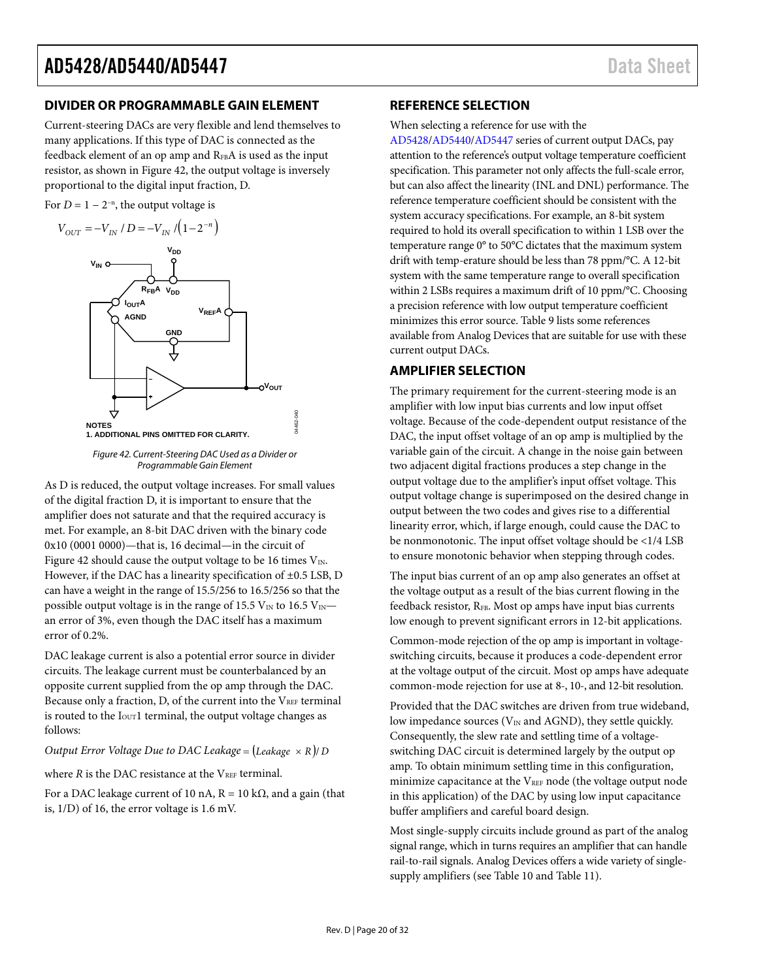### <span id="page-19-0"></span>**DIVIDER OR PROGRAMMABLE GAIN ELEMENT**

Current-steering DACs are very flexible and lend themselves to many applications. If this type of DAC is connected as the feedback element of an op amp and RFBA is used as the input resistor, as shown i[n Figure 42,](#page-19-3) the output voltage is inversely proportional to the digital input fraction, D.

For  $D = 1 - 2^{-n}$ , the output voltage is



Figure 42. Current-Steering DAC Used as a Divider or Programmable Gain Element

04462-040

nan

<span id="page-19-3"></span>As D is reduced, the output voltage increases. For small values of the digital fraction D, it is important to ensure that the amplifier does not saturate and that the required accuracy is met. For example, an 8-bit DAC driven with the binary code 0x10 (0001 0000)—that is, 16 decimal—in the circuit of [Figure 42 s](#page-19-3)hould cause the output voltage to be 16 times  $V_{\text{IN}}$ . However, if the DAC has a linearity specification of ±0.5 LSB, D can have a weight in the range of 15.5/256 to 16.5/256 so that the possible output voltage is in the range of 15.5 V<sub>IN</sub> to 16.5 V<sub>IN</sub> an error of 3%, even though the DAC itself has a maximum error of 0.2%.

DAC leakage current is also a potential error source in divider circuits. The leakage current must be counterbalanced by an opposite current supplied from the op amp through the DAC. Because only a fraction, D, of the current into the  $V_{REF}$  terminal is routed to the  $I<sub>OUT</sub>1$  terminal, the output voltage changes as follows:

*Output Error Voltage Due to DAC Leakage* =  $\text{(Leakage} \times \text{R)}$  *D* 

where  $R$  is the DAC resistance at the  $V_{REF}$  terminal.

For a DAC leakage current of 10 nA,  $R = 10 \text{ k}\Omega$ , and a gain (that is, 1/D) of 16, the error voltage is 1.6 mV.

### <span id="page-19-1"></span>**REFERENCE SELECTION**

When selecting a reference for use with the

[AD5428](http://www.analog.com/AD5428?doc=AD5428_5440_5447.pdf)[/AD5440/](http://www.analog.com/AD5440?doc=AD5428_5440_5447.pdf)[AD5447 s](http://www.analog.com/AD5447?doc=AD5428_5440_5447.pdf)eries of current output DACs, pay attention to the reference's output voltage temperature coefficient specification. This parameter not only affects the full-scale error, but can also affect the linearity (INL and DNL) performance. The reference temperature coefficient should be consistent with the system accuracy specifications. For example, an 8-bit system required to hold its overall specification to within 1 LSB over the temperature range 0° to 50°C dictates that the maximum system drift with temp-erature should be less than 78 ppm/°C. A 12-bit system with the same temperature range to overall specification within 2 LSBs requires a maximum drift of 10 ppm/°C. Choosing a precision reference with low output temperature coefficient minimizes this error source. [Table 9 l](#page-20-0)ists some references available from Analog Devices that are suitable for use with these current output DACs.

### <span id="page-19-2"></span>**AMPLIFIER SELECTION**

The primary requirement for the current-steering mode is an amplifier with low input bias currents and low input offset voltage. Because of the code-dependent output resistance of the DAC, the input offset voltage of an op amp is multiplied by the variable gain of the circuit. A change in the noise gain between two adjacent digital fractions produces a step change in the output voltage due to the amplifier's input offset voltage. This output voltage change is superimposed on the desired change in output between the two codes and gives rise to a differential linearity error, which, if large enough, could cause the DAC to be nonmonotonic. The input offset voltage should be <1/4 LSB to ensure monotonic behavior when stepping through codes.

The input bias current of an op amp also generates an offset at the voltage output as a result of the bias current flowing in the feedback resistor, R<sub>FB</sub>. Most op amps have input bias currents low enough to prevent significant errors in 12-bit applications.

Common-mode rejection of the op amp is important in voltageswitching circuits, because it produces a code-dependent error at the voltage output of the circuit. Most op amps have adequate common-mode rejection for use at 8-, 10-, and 12-bit resolution.

Provided that the DAC switches are driven from true wideband, low impedance sources ( $V_{IN}$  and AGND), they settle quickly. Consequently, the slew rate and settling time of a voltageswitching DAC circuit is determined largely by the output op amp. To obtain minimum settling time in this configuration, minimize capacitance at the  $V_{REF}$  node (the voltage output node in this application) of the DAC by using low input capacitance buffer amplifiers and careful board design.

Most single-supply circuits include ground as part of the analog signal range, which in turns requires an amplifier that can handle rail-to-rail signals. Analog Devices offers a wide variety of singlesupply amplifiers (se[e Table 10 a](#page-20-1)n[d Table 11\)](#page-20-2).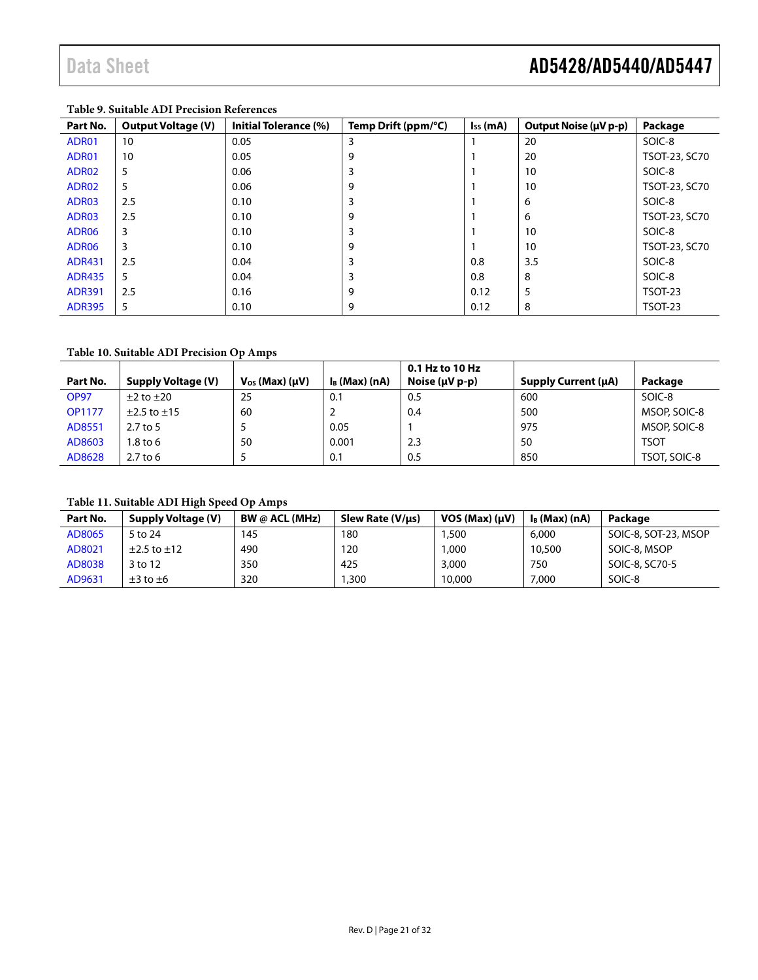### <span id="page-20-0"></span>**Table 9. Suitable ADI Precision References**

| Part No.          | <b>Output Voltage (V)</b> | <b>Initial Tolerance (%)</b> | Temp Drift (ppm/ $^{\circ}$ C) | $I_{SS}$ (mA) | Output Noise (µV p-p) | Package        |
|-------------------|---------------------------|------------------------------|--------------------------------|---------------|-----------------------|----------------|
| ADR01             | 10                        | 0.05                         | 3                              |               | 20                    | SOIC-8         |
| ADR01             | 10                        | 0.05                         | 9                              |               | 20                    | TSOT-23, SC70  |
| ADR02             | 5                         | 0.06                         | 3                              |               | 10                    | SOIC-8         |
| ADR02             | 5                         | 0.06                         | 9                              |               | 10                    | TSOT-23, SC70  |
| ADR03             | 2.5                       | 0.10                         | 3                              |               | 6                     | SOIC-8         |
| ADR03             | 2.5                       | 0.10                         | 9                              |               | 6                     | TSOT-23, SC70  |
| ADR <sub>06</sub> | 3                         | 0.10                         | 3                              |               | 10                    | SOIC-8         |
| ADR <sub>06</sub> | 3                         | 0.10                         | 9                              |               | 10                    | TSOT-23, SC70  |
| <b>ADR431</b>     | 2.5                       | 0.04                         | 3                              | 0.8           | 3.5                   | SOIC-8         |
| <b>ADR435</b>     | 5                         | 0.04                         |                                | 0.8           | 8                     | SOIC-8         |
| <b>ADR391</b>     | 2.5                       | 0.16                         | 9                              | 0.12          | 5                     | <b>TSOT-23</b> |
| <b>ADR395</b>     | 5                         | 0.10                         | 9                              | 0.12          | 8                     | <b>TSOT-23</b> |

### <span id="page-20-1"></span>**Table 10. Suitable ADI Precision Op Amps**

|               |                           |                           |                  | 0.1 Hz to 10 Hz  |                            |              |
|---------------|---------------------------|---------------------------|------------------|------------------|----------------------------|--------------|
| Part No.      | <b>Supply Voltage (V)</b> | $V_{OS}$ (Max) ( $\mu$ V) | $I_B$ (Max) (nA) | Noise $(uV p-p)$ | <b>Supply Current (µA)</b> | Package      |
| <b>OP97</b>   | $\pm 2$ to $\pm 20$       | 25                        | 0.1              | 0.5              | 600                        | SOIC-8       |
| <b>OP1177</b> | $\pm$ 2.5 to $\pm$ 15     | 60                        |                  | 0.4              | 500                        | MSOP, SOIC-8 |
| AD8551        | $2.7$ to 5                |                           | 0.05             |                  | 975                        | MSOP, SOIC-8 |
| AD8603        | $1.8$ to 6                | 50                        | 0.001            | 2.3              | 50                         | <b>TSOT</b>  |
| AD8628        | $2.7$ to 6                |                           | 0.1              | 0.5              | 850                        | TSOT, SOIC-8 |

### <span id="page-20-2"></span>**Table 11. Suitable ADI High Speed Op Amps**

| Part No. | <b>Supply Voltage (V)</b> | <b>BW @ ACL (MHz)</b> | Slew Rate (V/µs) | $VOS (Max) (\mu V)$ | $I_B$ (Max) (nA) | Package              |
|----------|---------------------------|-----------------------|------------------|---------------------|------------------|----------------------|
| AD8065   | 5 to 24                   | 145                   | 180              | .500،               | 6,000            | SOIC-8, SOT-23, MSOP |
| AD8021   | $\pm$ 2.5 to $\pm$ 12     | 490                   | 120              | ,000                | 10,500           | SOIC-8, MSOP         |
| AD8038   | 3 to 12                   | 350                   | 425              | 3,000               | 750              | SOIC-8, SC70-5       |
| AD9631   | $\pm 3$ to $\pm 6$        | 320                   | ,300             | 10,000              | 7,000            | SOIC-8               |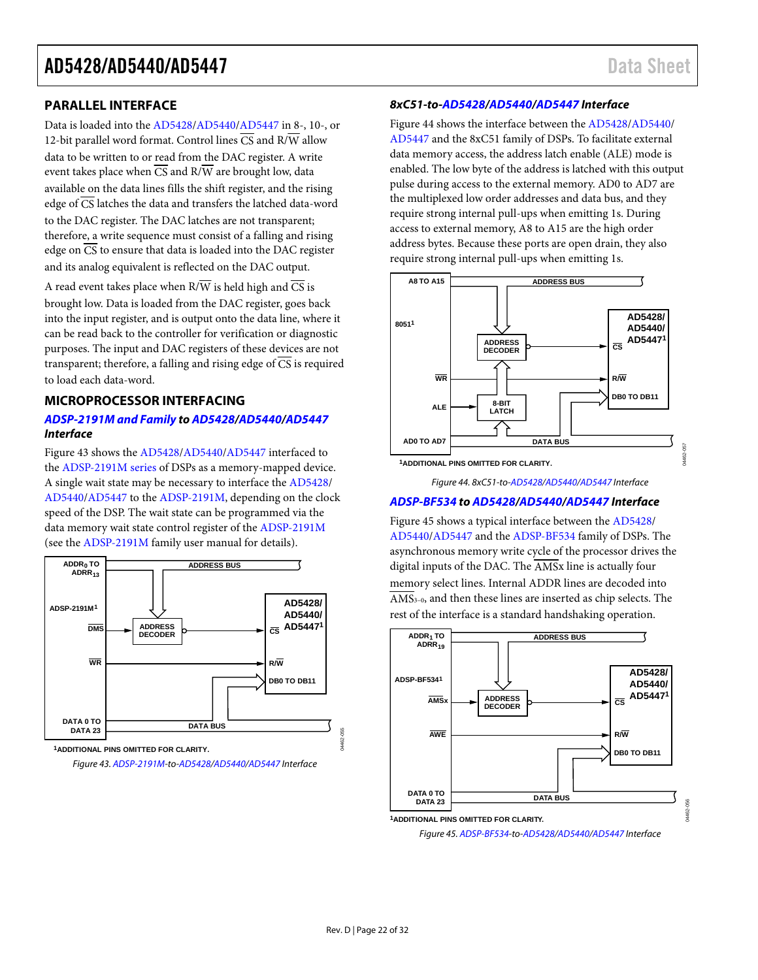04462-057

### <span id="page-21-0"></span>**PARALLEL INTERFACE**

Data is loaded into the [AD5428](http://www.analog.com/AD5428?doc=AD5428_5440_5447.pdf)[/AD5440](http://www.analog.com/AD5440?doc=AD5428_5440_5447.pdf)[/AD5447 i](http://www.analog.com/AD5447?doc=AD5428_5440_5447.pdf)n 8-, 10-, or 12-bit parallel word format. Control lines  $\overline{CS}$  and  $R/\overline{W}$  allow data to be written to or read from the DAC register. A write event takes place when  $\overline{CS}$  and  $R/\overline{W}$  are brought low, data available on the data lines fills the shift register, and the rising edge of  $\overline{CS}$  latches the data and transfers the latched data-word to the DAC register. The DAC latches are not transparent; therefore, a write sequence must consist of a falling and rising edge on CS to ensure that data is loaded into the DAC register and its analog equivalent is reflected on the DAC output.

A read event takes place when  $R/\overline{W}$  is held high and  $\overline{CS}$  is brought low. Data is loaded from the DAC register, goes back into the input register, and is output onto the data line, where it can be read back to the controller for verification or diagnostic purposes. The input and DAC registers of these devices are not transparent; therefore, a falling and rising edge of  $\overline{CS}$  is required to load each data-word.

### <span id="page-21-1"></span>**MICROPROCESSOR INTERFACING**

### **[ADSP-2191M and Family t](http://www.analog.com/adsp-21xx-processors?doc=AD5428_5440_5447.pdf)[o AD5428/](http://www.analog.com/AD5428?doc=AD5428_5440_5447.pdf)[AD5440/](http://www.analog.com/AD5440?doc=AD5428_5440_5447.pdf)[AD5447](http://www.analog.com/AD5447?doc=AD5428_5440_5447.pdf) Interface**

[Figure 43 s](#page-21-2)hows th[e AD5428](http://www.analog.com/AD5428?doc=AD5428_5440_5447.pdf)[/AD5440](http://www.analog.com/AD5440?doc=AD5428_5440_5447.pdf)[/AD5447](http://www.analog.com/AD5447?doc=AD5428_5440_5447.pdf) interfaced to the [ADSP-2191M series o](http://www.analog.com/adsp-21xx-processors?doc=AD5428_5440_5447.pdf)f DSPs as a memory-mapped device. A single wait state may be necessary to interface th[e AD5428/](http://www.analog.com/AD5428?doc=AD5428_5440_5447.pdf) [AD5440/](http://www.analog.com/AD5440?doc=AD5428_5440_5447.pdf)[AD5447 t](http://www.analog.com/AD5447?doc=AD5428_5440_5447.pdf)o the [ADSP-2191M,](http://www.analog.com/ADSP-2191M?doc=AD5428_5440_5447.pdf) depending on the clock speed of the DSP. The wait state can be programmed via the data memory wait state control register of the [ADSP-2191M](http://www.analog.com/ADSP-2191M?doc=AD5428_5440_5447.pdf) (see th[e ADSP-2191M](http://www.analog.com/adsp-21xx-processors?doc=AD5428_5440_5447.pdf) family user manual for details).



<span id="page-21-2"></span>**1ADDITIONAL PINS OMITTED FOR CLARITY.** Figure 43[. ADSP-2191M-t](http://www.analog.com/ADSP-2191M?doc=AD5428_5440_5447.pdf)o[-AD5428/](http://www.analog.com/AD5428?doc=AD5428_5440_5447.pdf)[AD5440/](http://www.analog.com/AD5440?doc=AD5428_5440_5447.pdf)[AD5447 I](http://www.analog.com/AD5447?doc=AD5428_5440_5447.pdf)nterface

#### **8xC51-to[-AD5428](http://www.analog.com/AD5428?doc=AD5428_5440_5447.pdf)[/AD5440](http://www.analog.com/AD5440?doc=AD5428_5440_5447.pdf)[/AD5447 I](http://www.analog.com/AD5447?doc=AD5428_5440_5447.pdf)nterface**

[Figure 44 s](#page-21-3)hows the interface between th[e AD5428](http://www.analog.com/AD5428?doc=AD5428_5440_5447.pdf)[/AD5440/](http://www.analog.com/AD5440?doc=AD5428_5440_5447.pdf) [AD5447 a](http://www.analog.com/AD5447?doc=AD5428_5440_5447.pdf)nd the 8xC51 family of DSPs. To facilitate external data memory access, the address latch enable (ALE) mode is enabled. The low byte of the address is latched with this output pulse during access to the external memory. AD0 to AD7 are the multiplexed low order addresses and data bus, and they require strong internal pull-ups when emitting 1s. During access to external memory, A8 to A15 are the high order address bytes. Because these ports are open drain, they also require strong internal pull-ups when emitting 1s.



<span id="page-21-3"></span>**1ADDITIONAL PINS OMITTED FOR CLARITY.**

Figure 44. 8xC51-to[-AD5428/](http://www.analog.com/AD5428?doc=AD5428_5440_5447.pdf)[AD5440/](http://www.analog.com/AD5440?doc=AD5428_5440_5447.pdf)[AD5447 I](http://www.analog.com/AD5447?doc=AD5428_5440_5447.pdf)nterface

#### **[ADSP-BF534 t](http://www.analog.com/ADSP-BF534?doc=AD5428_5440_5447.pdf)[o AD5428](http://www.analog.com/AD5428?doc=AD5428_5440_5447.pdf)[/AD5440/](http://www.analog.com/AD5440?doc=AD5428_5440_5447.pdf)[AD5447](http://www.analog.com/AD5447?doc=AD5428_5440_5447.pdf) Interface**

[Figure 45 s](#page-21-4)hows a typical interface between the [AD5428/](http://www.analog.com/AD5428?doc=AD5428_5440_5447.pdf) [AD5440/](http://www.analog.com/AD5440?doc=AD5428_5440_5447.pdf)[AD5447 a](http://www.analog.com/AD5447?doc=AD5428_5440_5447.pdf)nd th[e ADSP-BF534](http://www.analog.com/ADSP-BF534?doc=AD5428_5440_5447.pdf) family of DSPs. The asynchronous memory write cycle of the processor drives the digital inputs of the DAC. The  $\overline{AMSx}$  line is actually four memory select lines. Internal ADDR lines are decoded into  $\overline{\text{AMS}}_{3-0}$ , and then these lines are inserted as chip selects. The rest of the interface is a standard handshaking operation.



<span id="page-21-4"></span>Figure 45[. ADSP-BF534-](http://www.analog.com/ADSP-BF534?doc=AD5428_5440_5447.pdf)to[-AD5428/](http://www.analog.com/AD5428?doc=AD5428_5440_5447.pdf)[AD5440/](http://www.analog.com/AD5440?doc=AD5428_5440_5447.pdf)[AD5447 I](http://www.analog.com/AD5447?doc=AD5428_5440_5447.pdf)nterface

04462-055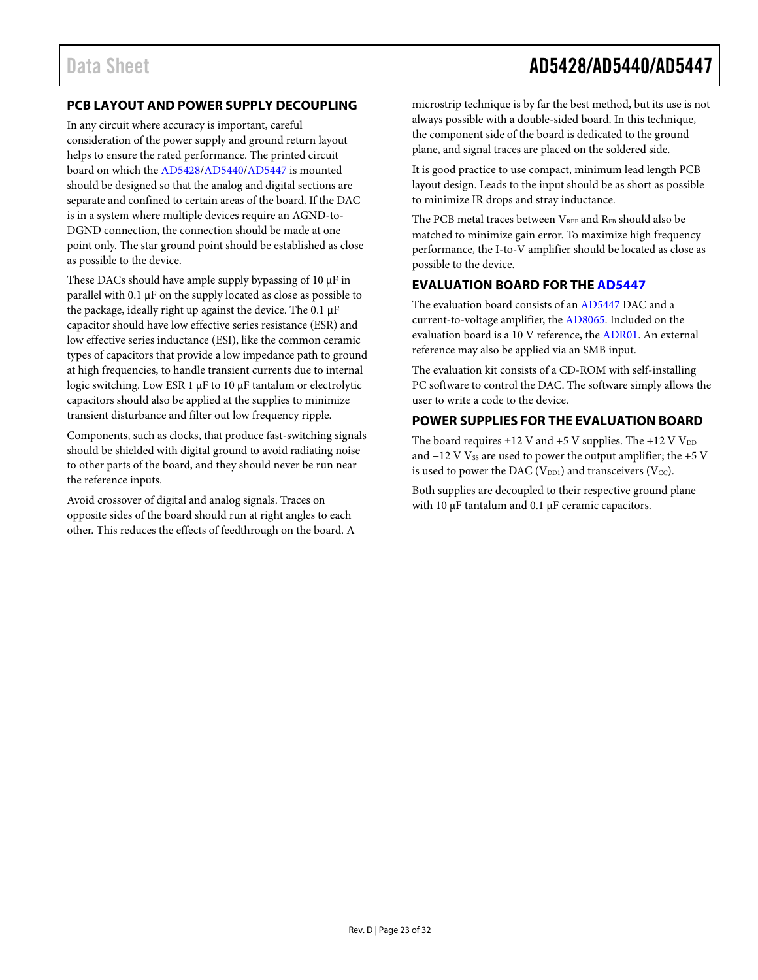# Data Sheet **AD5428/AD5440/AD5447**

# <span id="page-22-0"></span>**PCB LAYOUT AND POWER SUPPLY DECOUPLING**

In any circuit where accuracy is important, careful consideration of the power supply and ground return layout helps to ensure the rated performance. The printed circuit board on which the [AD5428/](http://www.analog.com/AD5428?doc=AD5428_5440_5447.pdf)[AD5440/](http://www.analog.com/AD5440?doc=AD5428_5440_5447.pdf)[AD5447 i](http://www.analog.com/AD5447?doc=AD5428_5440_5447.pdf)s mounted should be designed so that the analog and digital sections are separate and confined to certain areas of the board. If the DAC is in a system where multiple devices require an AGND-to-DGND connection, the connection should be made at one point only. The star ground point should be established as close as possible to the device.

These DACs should have ample supply bypassing of 10 μF in parallel with 0.1 μF on the supply located as close as possible to the package, ideally right up against the device. The 0.1 μF capacitor should have low effective series resistance (ESR) and low effective series inductance (ESI), like the common ceramic types of capacitors that provide a low impedance path to ground at high frequencies, to handle transient currents due to internal logic switching. Low ESR 1 μF to 10 μF tantalum or electrolytic capacitors should also be applied at the supplies to minimize transient disturbance and filter out low frequency ripple.

Components, such as clocks, that produce fast-switching signals should be shielded with digital ground to avoid radiating noise to other parts of the board, and they should never be run near the reference inputs.

Avoid crossover of digital and analog signals. Traces on opposite sides of the board should run at right angles to each other. This reduces the effects of feedthrough on the board. A microstrip technique is by far the best method, but its use is not always possible with a double-sided board. In this technique, the component side of the board is dedicated to the ground plane, and signal traces are placed on the soldered side.

It is good practice to use compact, minimum lead length PCB layout design. Leads to the input should be as short as possible to minimize IR drops and stray inductance.

The PCB metal traces between  $V_{REF}$  and  $R_{FB}$  should also be matched to minimize gain error. To maximize high frequency performance, the I-to-V amplifier should be located as close as possible to the device.

### <span id="page-22-1"></span>**EVALUATION BOARD FOR TH[E AD5447](http://www.analog.com/AD5447?doc=AD5428_5440_5447.pdf)**

The evaluation board consists of a[n AD5447](http://www.analog.com/AD5447?doc=AD5428_5440_5447.pdf) DAC and a current-to-voltage amplifier, the [AD8065.](http://www.analog.com/AD8065?doc=AD5428_5440_5447.pdf) Included on the evaluation board is a 10 V reference, the [ADR01.](http://www.analog.com/ADR01?doc=AD5428_5440_5447.pdf) An external reference may also be applied via an SMB input.

The evaluation kit consists of a CD-ROM with self-installing PC software to control the DAC. The software simply allows the user to write a code to the device.

### <span id="page-22-2"></span>**POWER SUPPLIES FOR THE EVALUATION BOARD**

The board requires  $\pm 12$  V and  $+5$  V supplies. The  $+12$  V V<sub>DD</sub> and  $-12$  V  $V_{SS}$  are used to power the output amplifier; the +5 V is used to power the DAC ( $V_{DD1}$ ) and transceivers ( $V_{CC}$ ).

Both supplies are decoupled to their respective ground plane with 10 μF tantalum and 0.1 μF ceramic capacitors.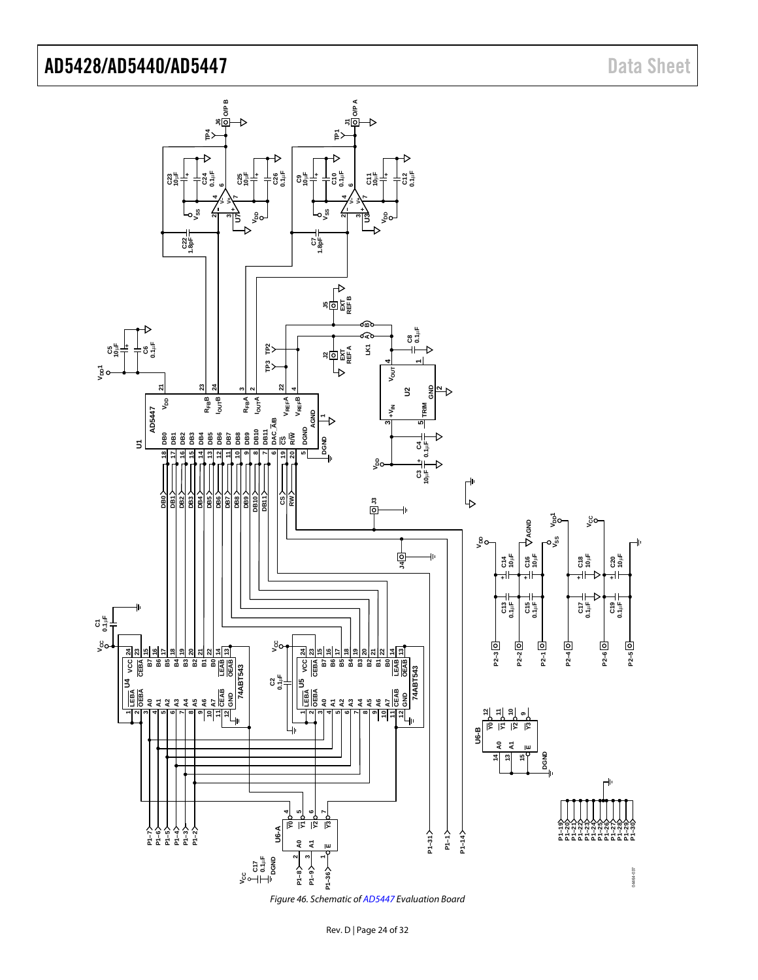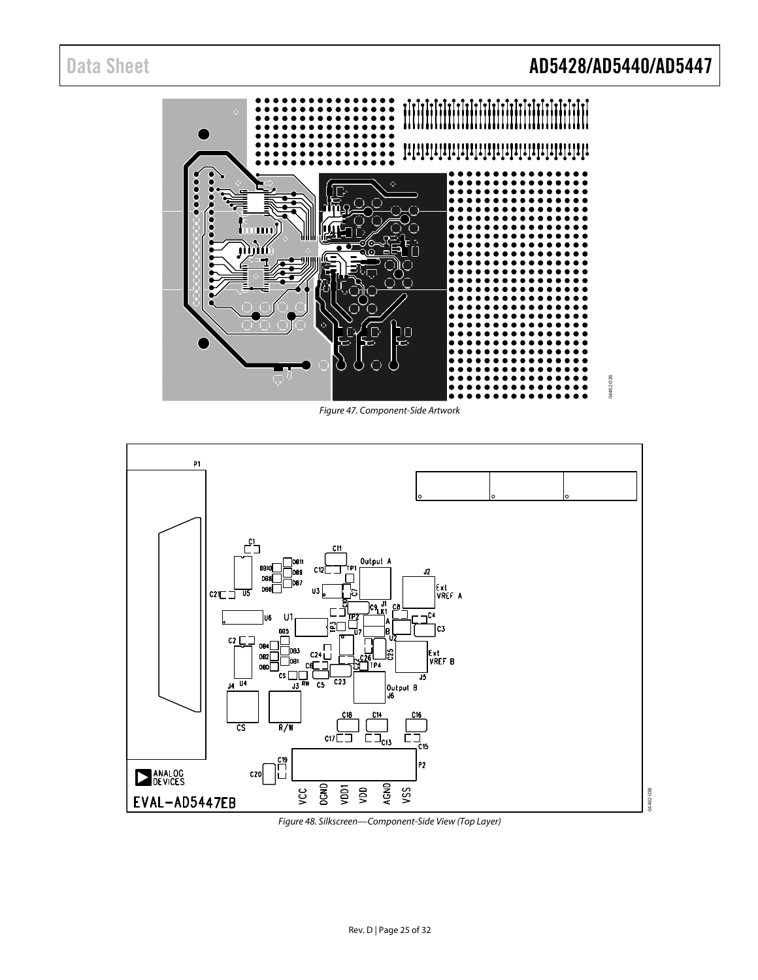# Data Sheet **AD5428/AD5440/AD5447**



Figure 47. Component-Side Artwork



Figure 48. Silkscreen—Component-Side View (Top Layer)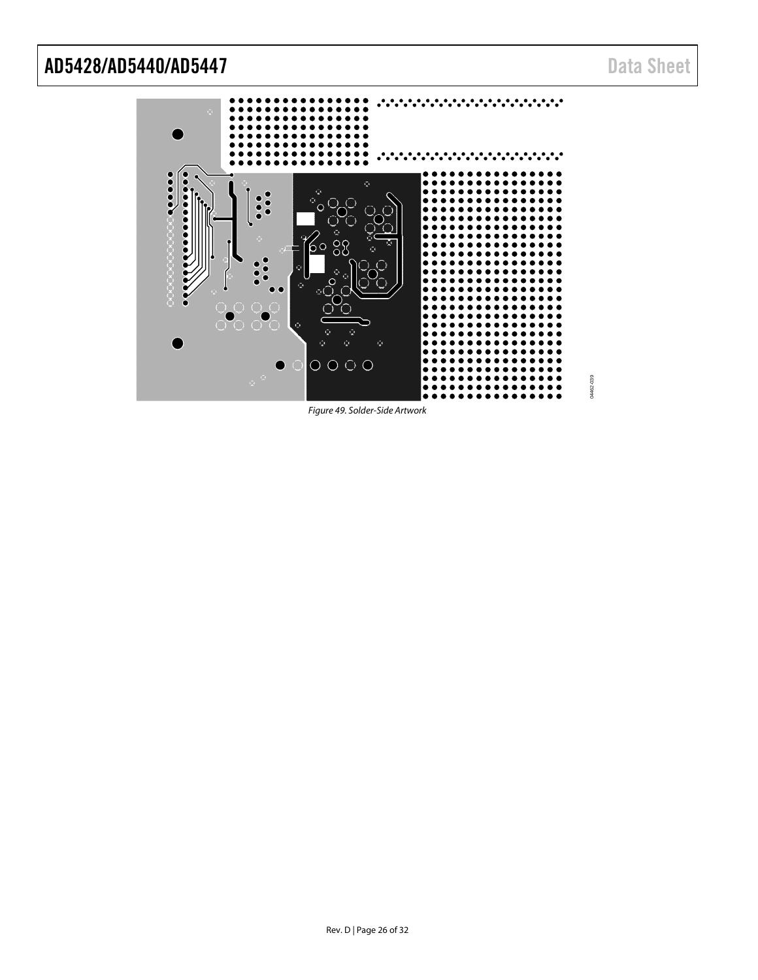•.∙  $\frac{1}{2}$  $\ddot{\cdot}$  $\ddot{\cdot}$  $O$   $O$   $O$   $O$ 

Figure 49. Solder-Side Artwork

04462-039

04462-039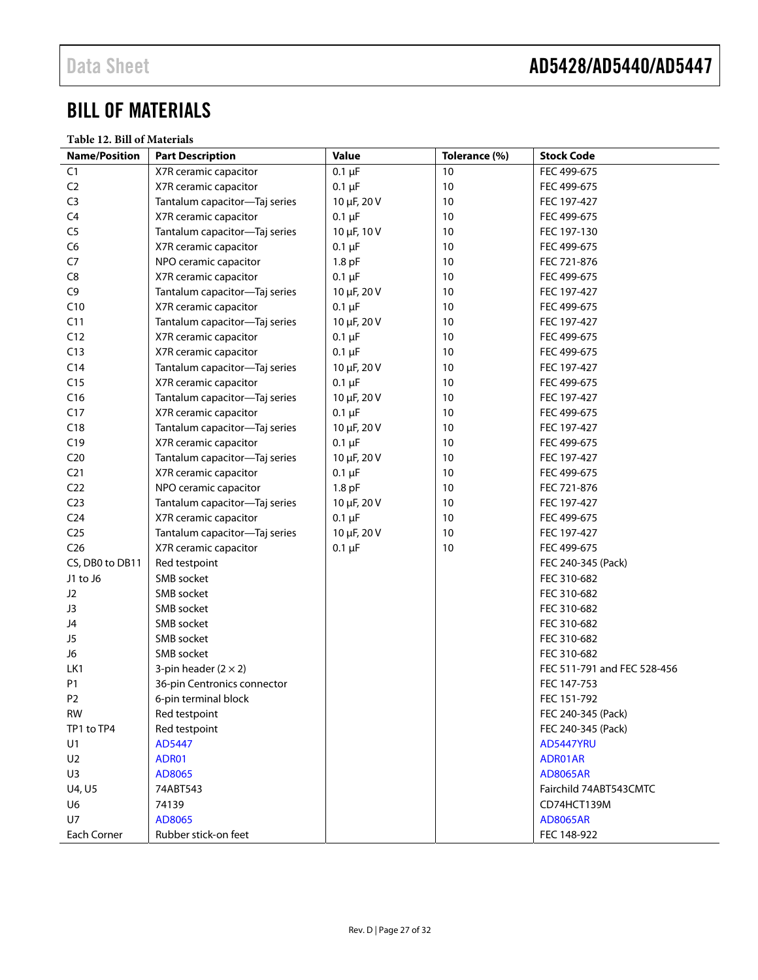# <span id="page-26-0"></span>BILL OF MATERIALS

**Table 12. Bill of Materials** 

| <b>Name/Position</b> | <b>Part Description</b>       | <b>Value</b> | Tolerance (%) | <b>Stock Code</b>           |
|----------------------|-------------------------------|--------------|---------------|-----------------------------|
| C <sub>1</sub>       | X7R ceramic capacitor         | $0.1 \mu F$  | 10            | FEC 499-675                 |
| C <sub>2</sub>       | X7R ceramic capacitor         | $0.1 \mu F$  | 10            | FEC 499-675                 |
| C <sub>3</sub>       | Tantalum capacitor-Taj series | 10 µF, 20 V  | 10            | FEC 197-427                 |
| C <sub>4</sub>       | X7R ceramic capacitor         | $0.1 \mu F$  | 10            | FEC 499-675                 |
| C <sub>5</sub>       | Tantalum capacitor-Taj series | 10 µF, 10 V  | 10            | FEC 197-130                 |
| C <sub>6</sub>       | X7R ceramic capacitor         | $0.1 \mu F$  | 10            | FEC 499-675                 |
| C7                   | NPO ceramic capacitor         | $1.8$ pF     | 10            | FEC 721-876                 |
| C8                   | X7R ceramic capacitor         | $0.1 \mu F$  | 10            | FEC 499-675                 |
| C9                   | Tantalum capacitor-Taj series | 10 µF, 20 V  | 10            | FEC 197-427                 |
| C10                  | X7R ceramic capacitor         | $0.1 \mu F$  | 10            | FEC 499-675                 |
| C11                  | Tantalum capacitor-Taj series | 10 µF, 20 V  | 10            | FEC 197-427                 |
| C12                  | X7R ceramic capacitor         | $0.1 \mu F$  | 10            | FEC 499-675                 |
| C13                  | X7R ceramic capacitor         | $0.1 \mu F$  | 10            | FEC 499-675                 |
| C <sub>14</sub>      | Tantalum capacitor-Taj series | 10 µF, 20 V  | 10            | FEC 197-427                 |
| C15                  | X7R ceramic capacitor         | $0.1 \mu F$  | 10            | FEC 499-675                 |
| C16                  | Tantalum capacitor-Taj series | 10 µF, 20 V  | 10            | FEC 197-427                 |
| C17                  | X7R ceramic capacitor         | $0.1 \mu F$  | 10            | FEC 499-675                 |
| C18                  | Tantalum capacitor-Taj series | 10 µF, 20 V  | 10            | FEC 197-427                 |
| C19                  | X7R ceramic capacitor         | $0.1 \mu F$  | 10            | FEC 499-675                 |
| C <sub>20</sub>      | Tantalum capacitor-Taj series | 10 µF, 20 V  | 10            | FEC 197-427                 |
| C <sub>21</sub>      | X7R ceramic capacitor         | $0.1 \mu F$  | 10            | FEC 499-675                 |
| C <sub>22</sub>      | NPO ceramic capacitor         | $1.8$ pF     | 10            | FEC 721-876                 |
| C <sub>23</sub>      | Tantalum capacitor-Taj series | 10 µF, 20 V  | 10            | FEC 197-427                 |
| C <sub>24</sub>      | X7R ceramic capacitor         | $0.1 \mu F$  | 10            | FEC 499-675                 |
| C <sub>25</sub>      | Tantalum capacitor-Taj series | 10 µF, 20 V  | 10            | FEC 197-427                 |
| C <sub>26</sub>      | X7R ceramic capacitor         | $0.1 \mu F$  | 10            | FEC 499-675                 |
| CS, DB0 to DB11      | Red testpoint                 |              |               | FEC 240-345 (Pack)          |
| J1 to J6             | SMB socket                    |              |               | FEC 310-682                 |
| J <sub>2</sub>       | SMB socket                    |              |               | FEC 310-682                 |
| J3                   | SMB socket                    |              |               | FEC 310-682                 |
| J4                   | SMB socket                    |              |               | FEC 310-682                 |
| J5                   | SMB socket                    |              |               | FEC 310-682                 |
| J6                   | SMB socket                    |              |               | FEC 310-682                 |
| LK1                  | 3-pin header $(2 \times 2)$   |              |               | FEC 511-791 and FEC 528-456 |
| P1                   | 36-pin Centronics connector   |              |               | FEC 147-753                 |
| P <sub>2</sub>       | 6-pin terminal block          |              |               | FEC 151-792                 |
| <b>RW</b>            | Red testpoint                 |              |               | FEC 240-345 (Pack)          |
| TP1 to TP4           | Red testpoint                 |              |               | FEC 240-345 (Pack)          |
| U <sub>1</sub>       | AD5447                        |              |               | <b>AD5447YRU</b>            |
| U <sub>2</sub>       | ADR01                         |              |               | ADR01AR                     |
| U3                   | AD8065                        |              |               | <b>AD8065AR</b>             |
| U4, U5               | 74ABT543                      |              |               | Fairchild 74ABT543CMTC      |
| U6                   | 74139                         |              |               | CD74HCT139M                 |
| U7                   | AD8065                        |              |               | <b>AD8065AR</b>             |
| Each Corner          | Rubber stick-on feet          |              |               | FEC 148-922                 |
|                      |                               |              |               |                             |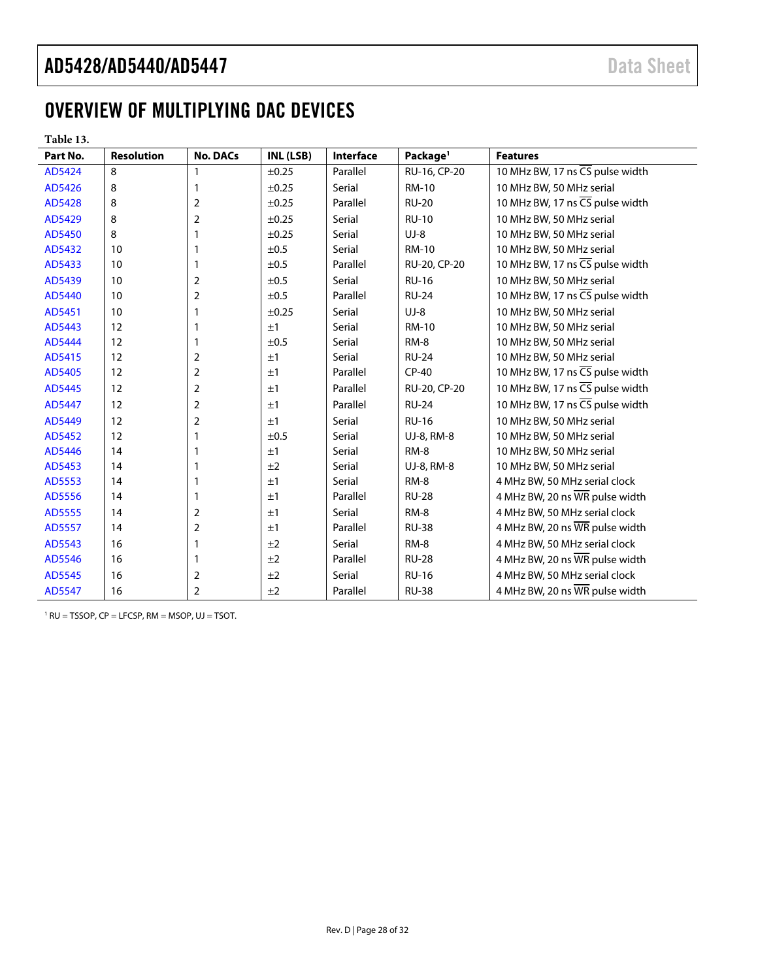# <span id="page-27-0"></span>OVERVIEW OF MULTIPLYING DAC DEVICES

| anie |  |
|------|--|
|------|--|

| Part No. | <b>Resolution</b> | <b>No. DACs</b>         | INL (LSB)  | Interface | Package <sup>1</sup> | <b>Features</b>                 |
|----------|-------------------|-------------------------|------------|-----------|----------------------|---------------------------------|
| AD5424   | 8                 | 1                       | $\pm 0.25$ | Parallel  | RU-16, CP-20         | 10 MHz BW, 17 ns CS pulse width |
| AD5426   | 8                 | 1                       | $\pm 0.25$ | Serial    | <b>RM-10</b>         | 10 MHz BW, 50 MHz serial        |
| AD5428   | 8                 | 2                       | ±0.25      | Parallel  | <b>RU-20</b>         | 10 MHz BW, 17 ns CS pulse width |
| AD5429   | 8                 | $\overline{2}$          | $\pm 0.25$ | Serial    | <b>RU-10</b>         | 10 MHz BW, 50 MHz serial        |
| AD5450   | 8                 | 1                       | $\pm 0.25$ | Serial    | $UJ-8$               | 10 MHz BW, 50 MHz serial        |
| AD5432   | 10 <sup>°</sup>   | 1                       | ±0.5       | Serial    | RM-10                | 10 MHz BW, 50 MHz serial        |
| AD5433   | 10 <sup>°</sup>   | 1                       | ±0.5       | Parallel  | RU-20, CP-20         | 10 MHz BW, 17 ns CS pulse width |
| AD5439   | 10                | 2                       | ±0.5       | Serial    | <b>RU-16</b>         | 10 MHz BW, 50 MHz serial        |
| AD5440   | 10                | 2                       | ±0.5       | Parallel  | <b>RU-24</b>         | 10 MHz BW, 17 ns CS pulse width |
| AD5451   | 10                | 1                       | $\pm 0.25$ | Serial    | $UJ-8$               | 10 MHz BW, 50 MHz serial        |
| AD5443   | 12                | 1                       | ±1         | Serial    | <b>RM-10</b>         | 10 MHz BW, 50 MHz serial        |
| AD5444   | 12                | 1                       | ±0.5       | Serial    | RM-8                 | 10 MHz BW, 50 MHz serial        |
| AD5415   | 12                | 2                       | ±1         | Serial    | <b>RU-24</b>         | 10 MHz BW, 50 MHz serial        |
| AD5405   | 12                | 2                       | ±1         | Parallel  | $CP-40$              | 10 MHz BW, 17 ns CS pulse width |
| AD5445   | 12                | 2                       | ±1         | Parallel  | RU-20, CP-20         | 10 MHz BW, 17 ns CS pulse width |
| AD5447   | 12                | 2                       | ±1         | Parallel  | <b>RU-24</b>         | 10 MHz BW, 17 ns CS pulse width |
| AD5449   | 12                | 2                       | ±1         | Serial    | <b>RU-16</b>         | 10 MHz BW, 50 MHz serial        |
| AD5452   | 12                | 1                       | ±0.5       | Serial    | UJ-8, RM-8           | 10 MHz BW, 50 MHz serial        |
| AD5446   | 14                | 1                       | ±1         | Serial    | RM-8                 | 10 MHz BW, 50 MHz serial        |
| AD5453   | 14                | 1                       | ±2         | Serial    | UJ-8, RM-8           | 10 MHz BW, 50 MHz serial        |
| AD5553   | 14                | 1                       | ±1         | Serial    | RM-8                 | 4 MHz BW, 50 MHz serial clock   |
| AD5556   | 14                | 1                       | ±1         | Parallel  | <b>RU-28</b>         | 4 MHz BW, 20 ns WR pulse width  |
| AD5555   | 14                | 2                       | ±1         | Serial    | RM-8                 | 4 MHz BW, 50 MHz serial clock   |
| AD5557   | 14                | 2                       | ±1         | Parallel  | <b>RU-38</b>         | 4 MHz BW, 20 ns WR pulse width  |
| AD5543   | 16                | 1                       | ±2         | Serial    | RM-8                 | 4 MHz BW, 50 MHz serial clock   |
| AD5546   | 16                | 1                       | ±2         | Parallel  | <b>RU-28</b>         | 4 MHz BW, 20 ns WR pulse width  |
| AD5545   | 16                | 2                       | ±2         | Serial    | <b>RU-16</b>         | 4 MHz BW, 50 MHz serial clock   |
| AD5547   | 16                | $\overline{\mathbf{c}}$ | ±2         | Parallel  | <b>RU-38</b>         | 4 MHz BW, 20 ns WR pulse width  |

1 RU = TSSOP, CP = LFCSP, RM = MSOP, UJ = TSOT.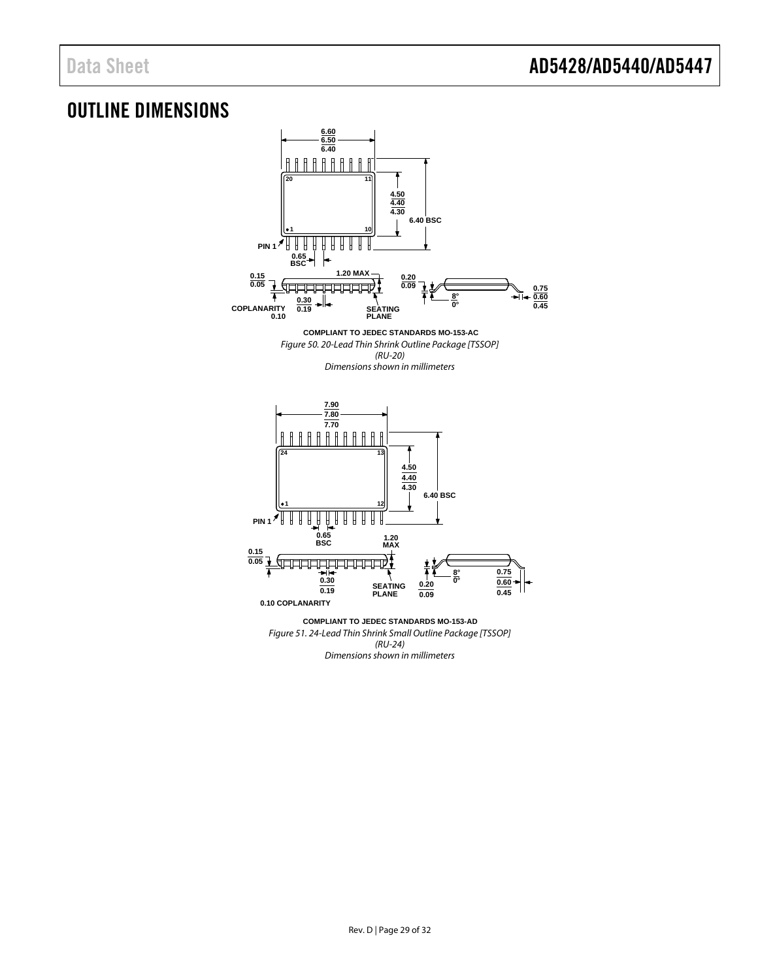# <span id="page-28-0"></span>OUTLINE DIMENSIONS



Rev. D | Page 29 of 32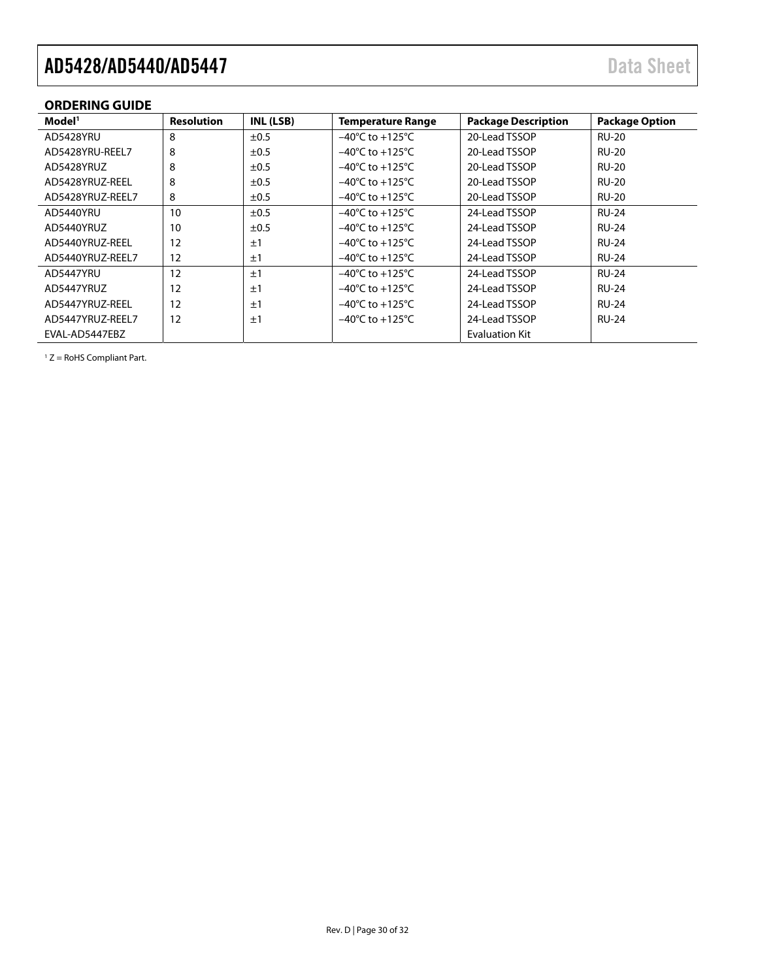# <span id="page-29-0"></span>**ORDERING GUIDE**

| Model <sup>1</sup> | <b>Resolution</b> | INL (LSB) | <b>Temperature Range</b>            | <b>Package Description</b> | <b>Package Option</b> |
|--------------------|-------------------|-----------|-------------------------------------|----------------------------|-----------------------|
| AD5428YRU          | 8                 | ±0.5      | $-40^{\circ}$ C to $+125^{\circ}$ C | 20-Lead TSSOP              | <b>RU-20</b>          |
| AD5428YRU-REEL7    | 8                 | ±0.5      | $-40^{\circ}$ C to $+125^{\circ}$ C | 20-Lead TSSOP              | <b>RU-20</b>          |
| AD5428YRUZ         | 8                 | $\pm 0.5$ | $-40^{\circ}$ C to $+125^{\circ}$ C | 20-Lead TSSOP              | <b>RU-20</b>          |
| AD5428YRUZ-REEL    | 8                 | $\pm 0.5$ | $-40^{\circ}$ C to $+125^{\circ}$ C | 20-Lead TSSOP              | <b>RU-20</b>          |
| AD5428YRUZ-REEL7   | 8                 | ±0.5      | $-40^{\circ}$ C to $+125^{\circ}$ C | 20-Lead TSSOP              | <b>RU-20</b>          |
| AD5440YRU          | 10                | ±0.5      | $-40^{\circ}$ C to $+125^{\circ}$ C | 24-Lead TSSOP              | <b>RU-24</b>          |
| AD5440YRUZ         | 10                | ±0.5      | $-40^{\circ}$ C to $+125^{\circ}$ C | 24-Lead TSSOP              | <b>RU-24</b>          |
| AD5440YRUZ-REEL    | 12                | ±1        | $-40^{\circ}$ C to $+125^{\circ}$ C | 24-Lead TSSOP              | <b>RU-24</b>          |
| AD5440YRUZ-REEL7   | 12                | ±1        | $-40^{\circ}$ C to $+125^{\circ}$ C | 24-Lead TSSOP              | <b>RU-24</b>          |
| AD5447YRU          | 12                | ±1        | $-40^{\circ}$ C to $+125^{\circ}$ C | 24-Lead TSSOP              | <b>RU-24</b>          |
| AD5447YRUZ         | 12                | ±1        | $-40^{\circ}$ C to $+125^{\circ}$ C | 24-Lead TSSOP              | <b>RU-24</b>          |
| AD5447YRUZ-REEL    | 12                | ±1        | $-40^{\circ}$ C to $+125^{\circ}$ C | 24-Lead TSSOP              | <b>RU-24</b>          |
| AD5447YRUZ-REEL7   | $12 \overline{ }$ | ±1        | $-40^{\circ}$ C to $+125^{\circ}$ C | 24-Lead TSSOP              | <b>RU-24</b>          |
| EVAL-AD5447EBZ     |                   |           |                                     | <b>Evaluation Kit</b>      |                       |

 $1 Z =$  RoHS Compliant Part.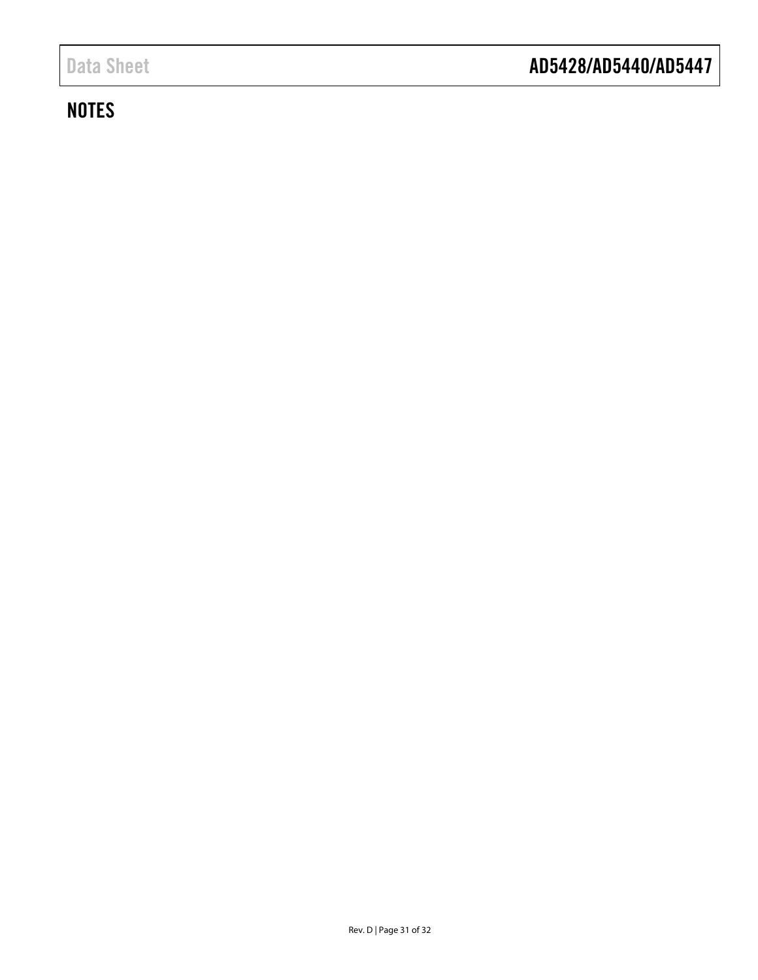# <span id="page-30-0"></span>**NOTES**